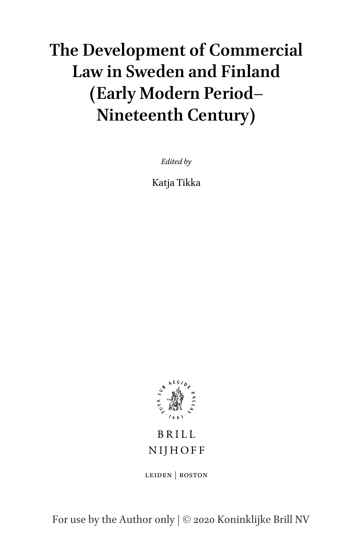# **The Development of Commercial Law in Sweden and Finland (Early Modern Period– Nineteenth Century)**

*Edited by*

Katja Tikka



# **BRILL** NIJHOFF

leiden | boston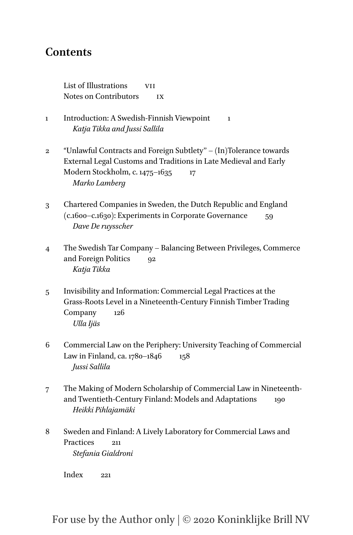# **Contents**

List of Illustrations vII Notes on Contributors IX

- 1 Introduction: A Swedish-Finnish Viewpoint 1 *Katja Tikka and Jussi Sallila*
- 2 "Unlawful Contracts and Foreign Subtlety'' (In)Tolerance towards External Legal Customs and Traditions in Late Medieval and Early Modern Stockholm, c. 1475–1635 17 *Marko Lamberg*
- 3 Chartered Companies in Sweden, the Dutch Republic and England (c.1600–c.1630): Experiments in Corporate Governance 59 *Dave De ruysscher*
- 4 The Swedish Tar Company Balancing Between Privileges, Commerce and Foreign Politics 92 *Katja Tikka*
- 5 Invisibility and Information: Commercial Legal Practices at the Grass-Roots Level in a Nineteenth-Century Finnish Timber Trading Company 126 *Ulla Ijäs*
- 6 Commercial Law on the Periphery: University Teaching of Commercial Law in Finland, ca. 1780–1846 158 *Jussi Sallila*
- 7 The Making of Modern Scholarship of Commercial Law in Nineteenthand Twentieth-Century Finland: Models and Adaptations 190 *Heikki Pihlajamäki*
- 8 Sweden and Finland: A Lively Laboratory for Commercial Laws and Practices 211 *Stefania Gialdroni*

 $Index \qquad 221$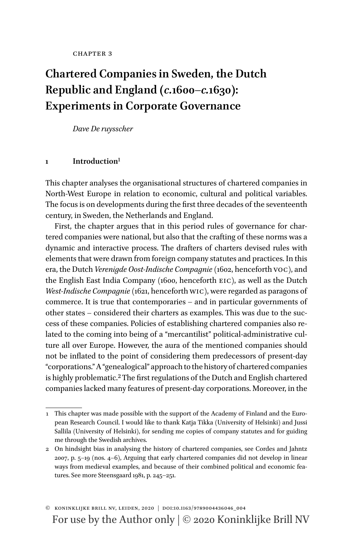# **Chartered Companies in Sweden, the Dutch Republic and England (***c.***1600–***c.***1630): Experiments in Corporate Governance**

*Dave De ruysscher*

#### **1 Introduction**[1](#page-2-0)

This chapter analyses the organisational structures of chartered companies in North-West Europe in relation to economic, cultural and political variables. The focus is on developments during the first three decades of the seventeenth century, in Sweden, the Netherlands and England.

First, the chapter argues that in this period rules of governance for chartered companies were national, but also that the crafting of these norms was a dynamic and interactive process. The drafters of charters devised rules with elements that were drawn from foreign company statutes and practices. In this era, the Dutch *Verenigde Oost-Indische Compagnie* (1602, henceforth voc), and the English East India Company (1600, henceforth eic), as well as the Dutch *West-Indische Compagnie* (1621, henceforth wic), were regarded as paragons of commerce. It is true that contemporaries – and in particular governments of other states – considered their charters as examples. This was due to the success of these companies. Policies of establishing chartered companies also related to the coming into being of a "mercantilist" political-administrative culture all over Europe. However, the aura of the mentioned companies should not be inflated to the point of considering them predecessors of present-day "corporations." A "genealogical" approach to the history of chartered companies is highly problematic.[2](#page-2-1) The first regulations of the Dutch and English chartered companies lacked many features of present-day corporations. Moreover, in the

<span id="page-2-0"></span><sup>1</sup> This chapter was made possible with the support of the Academy of Finland and the European Research Council. I would like to thank Katja Tikka (University of Helsinki) and Jussi Sallila (University of Helsinki), for sending me copies of company statutes and for guiding me through the Swedish archives.

<span id="page-2-1"></span><sup>2</sup> On hindsight bias in analysing the history of chartered companies, see Cordes and Jahntz 2007, p. 5–19 (nos. 4–6), Arguing that early chartered companies did not develop in linear ways from medieval examples, and because of their combined political and economic features. See more Steensgaard 1981, p. 245–251.

For use by the Author only | © 2020 Koninklijke Brill NV © koninklijke brill nv, leiden, ���� | doi:10.1163/9789004436046\_004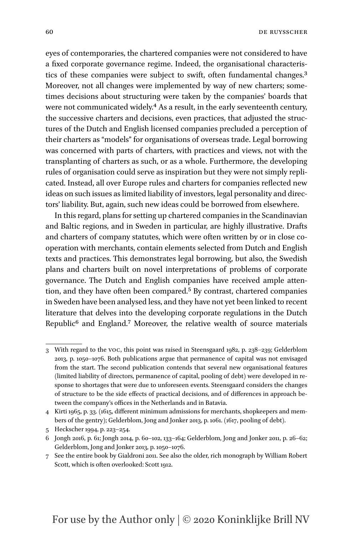eyes of contemporaries, the chartered companies were not considered to have a fixed corporate governance regime. Indeed, the organisational characteristics of these companies were subject to swift, often fundamental changes.[3](#page-3-0) Moreover, not all changes were implemented by way of new charters; sometimes decisions about structuring were taken by the companies' boards that were not communicated widely.<sup>4</sup> As a result, in the early seventeenth century, the successive charters and decisions, even practices, that adjusted the structures of the Dutch and English licensed companies precluded a perception of their charters as "models" for organisations of overseas trade. Legal borrowing was concerned with parts of charters, with practices and views, not with the transplanting of charters as such, or as a whole. Furthermore, the developing rules of organisation could serve as inspiration but they were not simply replicated. Instead, all over Europe rules and charters for companies reflected new ideas on such issues as limited liability of investors, legal personality and directors' liability. But, again, such new ideas could be borrowed from elsewhere.

In this regard, plans for setting up chartered companies in the Scandinavian and Baltic regions, and in Sweden in particular, are highly illustrative. Drafts and charters of company statutes, which were often written by or in close cooperation with merchants, contain elements selected from Dutch and English texts and practices. This demonstrates legal borrowing, but also, the Swedish plans and charters built on novel interpretations of problems of corporate governance. The Dutch and English companies have received ample attention, and they have often been compared[.5](#page-3-2) By contrast, chartered companies in Sweden have been analysed less, and they have not yet been linked to recent literature that delves into the developing corporate regulations in the Dutch Republic<sup>6</sup> and England.<sup>7</sup> Moreover, the relative wealth of source materials

<span id="page-3-0"></span><sup>3</sup> With regard to the voc, this point was raised in Steensgaard 1982, p. 238–239; Gelderblom 2013, p. 1050–1076. Both publications argue that permanence of capital was not envisaged from the start. The second publication contends that several new organisational features (limited liability of directors, permanence of capital, pooling of debt) were developed in response to shortages that were due to unforeseen events. Steensgaard considers the changes of structure to be the side effects of practical decisions, and of differences in approach between the company's offices in the Netherlands and in Batavia.

<span id="page-3-1"></span><sup>4</sup> Kirti 1965, p. 33. (1615, different minimum admissions for merchants, shopkeepers and members of the gentry); Gelderblom, Jong and Jonker 2013, p. 1061. (1617, pooling of debt).

<span id="page-3-2"></span><sup>5</sup> Heckscher 1994, p. 223–254.

<span id="page-3-3"></span><sup>6</sup> Jongh 2016, p. 61; Jongh 2014, p. 60–102, 133–164; Gelderblom, Jong and Jonker 2011, p. 26–62; Gelderblom, Jong and Jonker 2013, p. 1050–1076.

<span id="page-3-4"></span>See the entire book by Gialdroni 2011. See also the older, rich monograph by William Robert Scott, which is often overlooked: Scott 1912.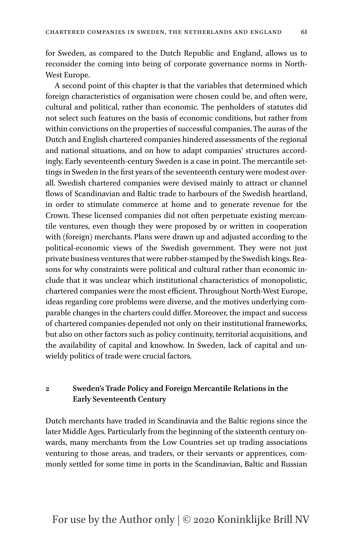for Sweden, as compared to the Dutch Republic and England, allows us to reconsider the coming into being of corporate governance norms in North-West Europe.

A second point of this chapter is that the variables that determined which foreign characteristics of organisation were chosen could be, and often were, cultural and political, rather than economic. The penholders of statutes did not select such features on the basis of economic conditions, but rather from within convictions on the properties of successful companies. The auras of the Dutch and English chartered companies hindered assessments of the regional and national situations, and on how to adapt companies' structures accordingly. Early seventeenth-century Sweden is a case in point. The mercantile settings in Sweden in the first years of the seventeenth century were modest overall. Swedish chartered companies were devised mainly to attract or channel flows of Scandinavian and Baltic trade to harbours of the Swedish heartland, in order to stimulate commerce at home and to generate revenue for the Crown. These licensed companies did not often perpetuate existing mercantile ventures, even though they were proposed by or written in cooperation with (foreign) merchants. Plans were drawn up and adjusted according to the political-economic views of the Swedish government. They were not just private business ventures that were rubber-stamped by the Swedish kings. Reasons for why constraints were political and cultural rather than economic include that it was unclear which institutional characteristics of monopolistic, chartered companies were the most efficient. Throughout North-West Europe, ideas regarding core problems were diverse, and the motives underlying comparable changes in the charters could differ. Moreover, the impact and success of chartered companies depended not only on their institutional frameworks, but also on other factors such as policy continuity, territorial acquisitions, and the availability of capital and knowhow. In Sweden, lack of capital and unwieldy politics of trade were crucial factors.

#### **2 Sweden's Trade Policy and Foreign Mercantile Relations in the Early Seventeenth Century**

Dutch merchants have traded in Scandinavia and the Baltic regions since the later Middle Ages. Particularly from the beginning of the sixteenth century onwards, many merchants from the Low Countries set up trading associations venturing to those areas, and traders, or their servants or apprentices, commonly settled for some time in ports in the Scandinavian, Baltic and Russian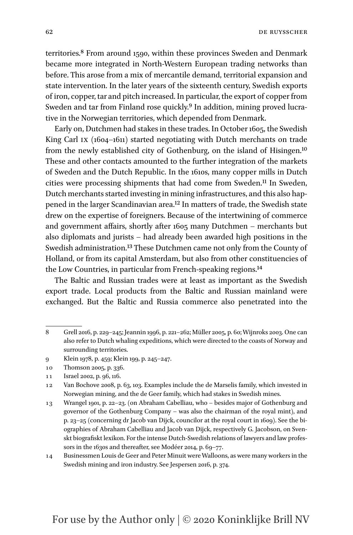territories[.8](#page-5-0) From around 1590, within these provinces Sweden and Denmark became more integrated in North-Western European trading networks than before. This arose from a mix of mercantile demand, territorial expansion and state intervention. In the later years of the sixteenth century, Swedish exports of iron, copper, tar and pitch increased. In particular, the export of copper from Sweden and tar from Finland rose quickly.<sup>9</sup> In addition, mining proved lucrative in the Norwegian territories, which depended from Denmark.

Early on, Dutchmen had stakes in these trades. In October 1605, the Swedish King Carl ix (1604–1611) started negotiating with Dutch merchants on trade from the newly established city of Gothenburg, on the island of Hisingen.[10](#page-5-2) These and other contacts amounted to the further integration of the markets of Sweden and the Dutch Republic. In the 1610s, many copper mills in Dutch cities were processing shipments that had come from Sweden.<sup>[11](#page-5-3)</sup> In Sweden, Dutch merchants started investing in mining infrastructures, and this also happened in the larger Scandinavian area.[12](#page-5-4) In matters of trade, the Swedish state drew on the expertise of foreigners. Because of the intertwining of commerce and government affairs, shortly after 1605 many Dutchmen – merchants but also diplomats and jurists – had already been awarded high positions in the Swedish administration[.13](#page-5-5) These Dutchmen came not only from the County of Holland, or from its capital Amsterdam, but also from other constituencies of the Low Countries, in particular from French-speaking regions[.14](#page-5-6)

The Baltic and Russian trades were at least as important as the Swedish export trade. Local products from the Baltic and Russian mainland were exchanged. But the Baltic and Russia commerce also penetrated into the

<span id="page-5-0"></span><sup>8</sup> Grell 2016, p. 229–245; Jeannin 1996, p. 221–262; Müller 2005, p. 60; Wijnroks 2003. One can also refer to Dutch whaling expeditions, which were directed to the coasts of Norway and surrounding territories.

<span id="page-5-1"></span><sup>9</sup> Klein 1978, p. 459; Klein 199, p. 245–247.

<span id="page-5-2"></span><sup>10</sup> Thomson 2005, p. 336.

<span id="page-5-3"></span><sup>11</sup> Israel 2002, p. 96, 116.

<span id="page-5-4"></span><sup>12</sup> Van Bochove 2008, p. 63, 103. Examples include the de Marselis family, which invested in Norwegian mining, and the de Geer family, which had stakes in Swedish mines.

<span id="page-5-5"></span><sup>13</sup> Wrangel 1901, p. 22–23. (on Abraham Cabelliau, who – besides major of Gothenburg and governor of the Gothenburg Company – was also the chairman of the royal mint), and p. 23–25 (concerning dr Jacob van Dijck, councilor at the royal court in 1609). See the biographies of Abraham Cabelliau and Jacob van Dijck, respectively G. Jacobson, on Svenskt biografiskt lexikon. For the intense Dutch-Swedish relations of lawyers and law professors in the 1630s and thereafter, see Modéer 2014, p. 69–77.

<span id="page-5-6"></span><sup>14</sup> Businessmen Louis de Geer and Peter Minuit were Walloons, as were many workers in the Swedish mining and iron industry. See Jespersen 2016, p. 374.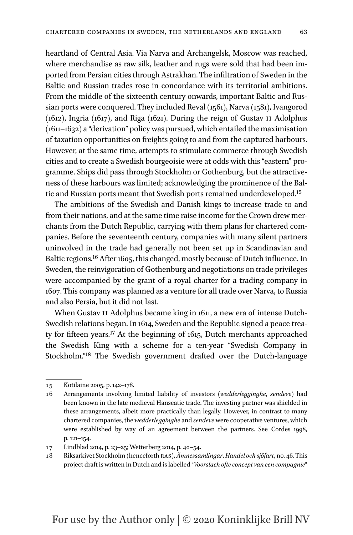heartland of Central Asia. Via Narva and Archangelsk, Moscow was reached, where merchandise as raw silk, leather and rugs were sold that had been imported from Persian cities through Astrakhan. The infiltration of Sweden in the Baltic and Russian trades rose in concordance with its territorial ambitions. From the middle of the sixteenth century onwards, important Baltic and Russian ports were conquered. They included Reval (1561), Narva (1581), Ivangorod (1612), Ingria (1617), and Riga (1621). During the reign of Gustav ii Adolphus (1611–1632) a "derivation" policy was pursued, which entailed the maximisation of taxation opportunities on freights going to and from the captured harbours. However, at the same time, attempts to stimulate commerce through Swedish cities and to create a Swedish bourgeoisie were at odds with this "eastern" programme. Ships did pass through Stockholm or Gothenburg, but the attractive-

tic and Russian ports meant that Swedish ports remained underdeveloped[.15](#page-6-0) The ambitions of the Swedish and Danish kings to increase trade to and from their nations, and at the same time raise income for the Crown drew merchants from the Dutch Republic, carrying with them plans for chartered companies. Before the seventeenth century, companies with many silent partners uninvolved in the trade had generally not been set up in Scandinavian and Baltic regions[.16](#page-6-1) After 1605, this changed, mostly because of Dutch influence. In Sweden, the reinvigoration of Gothenburg and negotiations on trade privileges were accompanied by the grant of a royal charter for a trading company in 1607. This company was planned as a venture for all trade over Narva, to Russia and also Persia, but it did not last.

ness of these harbours was limited; acknowledging the prominence of the Bal-

When Gustav II Adolphus became king in 1611, a new era of intense Dutch-Swedish relations began. In 1614, Sweden and the Republic signed a peace treaty for fifteen years[.17](#page-6-2) At the beginning of 1615, Dutch merchants approached the Swedish King with a scheme for a ten-year "Swedish Company in Stockholm."[18](#page-6-3) The Swedish government drafted over the Dutch-language

<span id="page-6-0"></span><sup>15</sup> Kotilaine 2005, p. 142–178.

<span id="page-6-1"></span><sup>16</sup> Arrangements involving limited liability of investors (*wedderlegginghe*, *sendeve*) had been known in the late medieval Hanseatic trade. The investing partner was shielded in these arrangements, albeit more practically than legally. However, in contrast to many chartered companies, the *wedderlegginghe* and *sendeve* were cooperative ventures, which were established by way of an agreement between the partners. See Cordes 1998, p. 121–154.

<span id="page-6-2"></span><sup>17</sup> Lindblad 2014, p. 23–25; Wetterberg 2014, p. 40–54.

<span id="page-6-3"></span><sup>18</sup> Riksarkivet Stockholm (henceforth ras), *Ämnessamlingar*, *Handel och sjöfart*, no. 46. This project draft is written in Dutch and is labelled "*Voorslach ofte concept van een compagnie*"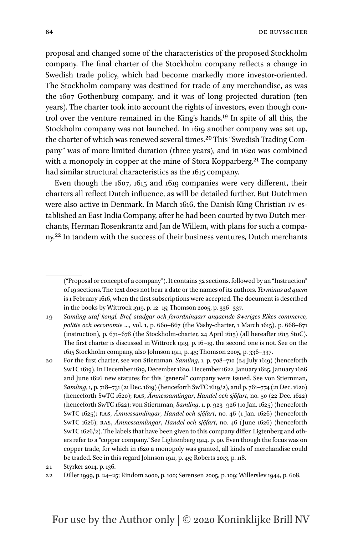proposal and changed some of the characteristics of the proposed Stockholm company. The final charter of the Stockholm company reflects a change in Swedish trade policy, which had become markedly more investor-oriented. The Stockholm company was destined for trade of any merchandise, as was the 1607 Gothenburg company, and it was of long projected duration (ten years). The charter took into account the rights of investors, even though control over the venture remained in the King's hands[.19](#page-7-0) In spite of all this, the Stockholm company was not launched. In 1619 another company was set up, the charter of which was renewed several times.[20](#page-7-1) This "Swedish Trading Company" was of more limited duration (three years), and in 1620 was combined with a monopoly in copper at the mine of Stora Kopparberg.<sup>[21](#page-7-2)</sup> The company had similar structural characteristics as the 1615 company.

Even though the 1607, 1615 and 1619 companies were very different, their charters all reflect Dutch influence, as will be detailed further. But Dutchmen were also active in Denmark. In March 1616, the Danish King Christian iv established an East India Company, after he had been courted by two Dutch merchants, Herman Rosenkrantz and Jan de Willem, with plans for such a company[.22](#page-7-3) In tandem with the success of their business ventures, Dutch merchants

<sup>(&</sup>quot;Proposal or concept of a company"). It contains 32 sections, followed by an "Instruction" of 19 sections. The text does not bear a date or the names of its authors. *Terminus ad quem* is 1 February 1616, when the first subscriptions were accepted. The document is described in the books by Wittrock 1919, p. 12–15; Thomson 2005, p. 336–337.

<span id="page-7-0"></span><sup>19</sup> *Samling utaf kongl. Bref, stadgar och forordningarr angaende Sweriges Rikes commerce, politie och oeconomie …*, vol. 1, p. 660–667 (the Väsby-charter, 1 March 1615), p. 668–671 (instruction), p. 671–678 (the Stockholm-charter, 24 April 1615) (all hereafter 1615 StoC). The first charter is discussed in Wittrock 1919, p. 16–19, the second one is not. See on the 1615 Stockholm company, also Johnson 1911, p. 45; Thomson 2005, p. 336–337.

<span id="page-7-1"></span><sup>20</sup> For the first charter, see von Stiernman, *Samling*, 1, p. 708–710 (24 July 1619) (henceforth SwTC 1619). In December 1619, December 1620, December 1622, January 1625, January 1626 and June 1626 new statutes for this "general" company were issued. See von Stiernman, *Samling*, 1, p. 718–731 (21 Dec. 1619) (henceforth SwTC 1619/2), and p. 761–774 (21 Dec. 1620) (henceforth SwTC 1620); ras, *Ämnessamlingar*, *Handel och sjöfart*, no. 50 (22 Dec. 1622) (henceforth SwTC 1622); von Stiernman, *Samling*, 1, p. 923–926 (10 Jan. 1625) (henceforth SwTC 1625); ras, *Ämnessamlingar*, *Handel och sjöfart*, no. 46 (1 Jan. 1626) (henceforth SwTC 1626); ras, *Ämnessamlingar*, *Handel och sjöfart*, no. 46 (June 1626) (henceforth SwTC 1626/2). The labels that have been given to this company differ. Ligtenberg and others refer to a "copper company." See Lightenberg 1914, p. 90. Even though the focus was on copper trade, for which in 1620 a monopoly was granted, all kinds of merchandise could be traded. See in this regard Johnson 1911, p. 45; Roberts 2013, p. 118.

<span id="page-7-2"></span><sup>21</sup> Styrker 2014, p. 136.

<span id="page-7-3"></span><sup>22</sup> Diller 1999, p. 24–25; Rindom 2000, p. 100; Sørensen 2005, p. 109; Willerslev 1944, p. 608.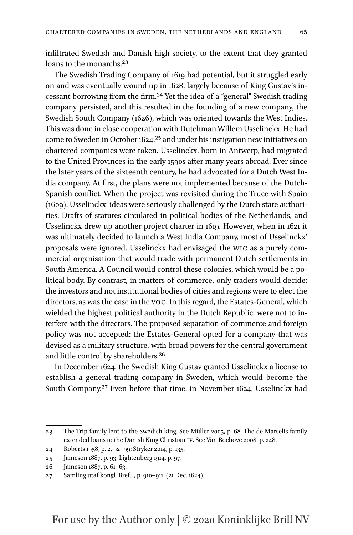infiltrated Swedish and Danish high society, to the extent that they granted loans to the monarchs.<sup>[23](#page-8-0)</sup>

The Swedish Trading Company of 1619 had potential, but it struggled early on and was eventually wound up in 1628, largely because of King Gustav's incessant borrowing from the firm[.24](#page-8-1) Yet the idea of a "general" Swedish trading company persisted, and this resulted in the founding of a new company, the Swedish South Company (1626), which was oriented towards the West Indies. This was done in close cooperation with Dutchman Willem Usselinckx. He had come to Sweden in October 1624[,25](#page-8-2) and under his instigation new initiatives on chartered companies were taken. Usselinckx, born in Antwerp, had migrated to the United Provinces in the early 1590s after many years abroad. Ever since the later years of the sixteenth century, he had advocated for a Dutch West India company. At first, the plans were not implemented because of the Dutch-Spanish conflict. When the project was revisited during the Truce with Spain (1609), Usselinckx' ideas were seriously challenged by the Dutch state authorities. Drafts of statutes circulated in political bodies of the Netherlands, and Usselinckx drew up another project charter in 1619. However, when in 1621 it was ultimately decided to launch a West India Company, most of Usselinckx' proposals were ignored. Usselinckx had envisaged the wic as a purely commercial organisation that would trade with permanent Dutch settlements in South America. A Council would control these colonies, which would be a political body. By contrast, in matters of commerce, only traders would decide: the investors and not institutional bodies of cities and regions were to elect the directors, as was the case in the voc. In this regard, the Estates-General, which wielded the highest political authority in the Dutch Republic, were not to interfere with the directors. The proposed separation of commerce and foreign policy was not accepted: the Estates-General opted for a company that was devised as a military structure, with broad powers for the central government and little control by shareholders.[26](#page-8-3)

In December 1624, the Swedish King Gustav granted Usselinckx a license to establish a general trading company in Sweden, which would become the South Company.[27](#page-8-4) Even before that time, in November 1624, Usselinckx had

<span id="page-8-0"></span><sup>23</sup> The Trip family lent to the Swedish king. See Müller 2005, p. 68. The de Marselis family extended loans to the Danish King Christian iv. See Van Bochove 2008, p. 248.

<span id="page-8-1"></span><sup>24</sup> Roberts 1958, p. 2, 92–99; Stryker 2014, p. 135.

<span id="page-8-2"></span><sup>25</sup> Jameson 1887, p. 93; Lightenberg 1914, p. 97.

<span id="page-8-3"></span><sup>26</sup> Jameson 1887, p. 61–63.

<span id="page-8-4"></span><sup>27</sup> Samling utaf kongl. Bref..., p. 910–911. (21 Dec. 1624).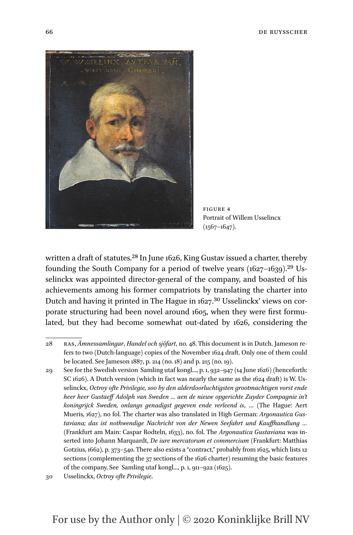

Figure 4 Portrait of Willem Usselincx  $(1567-1647)$ .

written a draft of statutes.<sup>28</sup> In June 1626, King Gustav issued a charter, thereby founding the South Company for a period of twelve years  $(1627-1639).^{29}$  $(1627-1639).^{29}$  $(1627-1639).^{29}$  Usselinckx was appointed director-general of the company, and boasted of his achievements among his former compatriots by translating the charter into Dutch and having it printed in The Hague in 1627.<sup>30</sup> Usselinckx' views on corporate structuring had been novel around 1605, when they were first formulated, but they had become somewhat out-dated by 1626, considering the

<span id="page-9-0"></span><sup>28</sup> ras, *Ämnessamlingar*, *Handel och sjöfart*, no. 48. This document is in Dutch. Jameson refers to two (Dutch-language) copies of the November 1624 draft. Only one of them could be located. See Jameson 1887, p. 214 (no. 18) and p. 215 (no. 19).

<span id="page-9-1"></span><sup>29</sup> See for the Swedish version Samling utaf kongl..., p. 1, 932–947 (14 June 1626) (henceforth: SC 1626). A Dutch version (which in fact was nearly the same as the 1624 draft) is W. Usselinckx, *Octroy ofte Privilegie, soo by den alderdoorluchtigsten grootmachtigen vorst ende heer heer Gustaeff Adolph van Sweden … aen de nieuw opgerichte Zuyder Compagnie in't koningrijck Sweden, onlangs genadigst gegeven ende verleend is*, … (The Hague: Aert Mueris, 1627), no fol. The charter was also translated in High German: *Argonautica Gustaviana; das ist nothwendige Nachricht von der Newen Seefahrt und Kauffhandlung …* (Frankfurt am Main: Caspar Rodteln, 1633), no. fol. The *Argonautica Gustaviana* was inserted into Johann Marquardt, *De iure mercatorum et commercium* (Frankfurt: Matthias Gotzius, 1662), p. 373–540. There also exists a "contract," probably from 1625, which lists 12 sections (complementing the 37 sections of the 1626 charter) resuming the basic features of the company. See Samling utaf kongl..., p. 1, 911–922 (1625).

<span id="page-9-2"></span><sup>30</sup> Usselinckx, *Octroy ofte Privilegie*.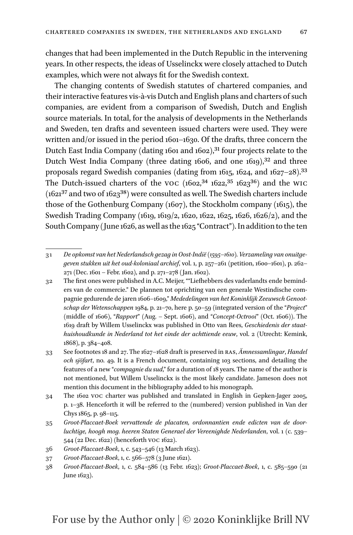changes that had been implemented in the Dutch Republic in the intervening years. In other respects, the ideas of Usselinckx were closely attached to Dutch examples, which were not always fit for the Swedish context.

The changing contents of Swedish statutes of chartered companies, and their interactive features vis-à-vis Dutch and English plans and charters of such companies, are evident from a comparison of Swedish, Dutch and English source materials. In total, for the analysis of developments in the Netherlands and Sweden, ten drafts and seventeen issued charters were used. They were written and/or issued in the period 1601–1630. Of the drafts, three concern the Dutch East India Company (dating 1601 and 1602),<sup>31</sup> four projects relate to the Dutch West India Company (three dating 1606, and one 1619),<sup>32</sup> and three proposals regard Swedish companies (dating from 1615, 1624, and 1627–28)[.33](#page-10-2) The Dutch-issued charters of the voc  $(1602,341622,351623,36)$  $(1602,341622,351623,36)$  $(1602,341622,351623,36)$  $(1602,341622,351623,36)$  and the WIC  $(1621<sup>37</sup>$  and two of  $1623<sup>38</sup>$ ) were consulted as well. The Swedish charters include those of the Gothenburg Company (1607), the Stockholm company (1615), the Swedish Trading Company (1619, 1619/2, 1620, 1622, 1625, 1626, 1626/2), and the South Company (June 1626, as well as the 1625 "Contract"). In addition to the ten

- <span id="page-10-5"></span>36 *Groot-Placcaet-Boek*, 1, c. 543–546 (13 March 1623).
- <span id="page-10-6"></span>37 *Groot-Placcaet-Boek*, 1, c. 566–578 (3 June 1621).
- <span id="page-10-7"></span>38 *Groot-Placcaet-Boek*, 1, c. 584–586 (13 Febr. 1623); *Groot-Placcaet-Boek*, 1, c. 585–590 (21 June 1623).

<span id="page-10-0"></span><sup>31</sup> *De opkomst van het Nederlandsch gezag in Oost-Indië (1595*–*1610). Verzameling van onuitgegeven stukken uit het oud-koloniaal archief*, vol. 1, p. 257–261 (petition, 1600–1601), p. 262– 271 (Dec. 1601 – Febr. 1602), and p. 271–278 (Jan. 1602).

<span id="page-10-1"></span><sup>32</sup> The first ones were published in A.C. Meijer, ""Liefhebbers des vaderlandts ende beminders van de commercie." De plannen tot oprichting van een generale Westindische compagnie gedurende de jaren 1606–1609," *Mededelingen van het Koninklijk Zeeuwsch Genootschap der Wetenschappen* 1984, p. 21–70, here p. 50–59 (integrated version of the "*Project*" (middle of 1606), "*Rapport*" (Aug. – Sept. 1606), and "*Concept-Octrooi*" (Oct. 1606)). The 1619 draft by Willem Usselinckx was published in Otto van Rees, *Geschiedenis der staathuishoudkunde in Nederland tot het einde der achttiende eeuw*, vol. 2 (Utrecht: Kemink, 1868), p. 384–408.

<span id="page-10-2"></span><sup>33</sup> See footnotes 18 and 27. The 1627–1628 draft is preserved in ras, *Ämnessamlingar*, *Handel och sjöfart*, no. 49. It is a French document, containing 103 sections, and detailing the features of a new "*compagnie du sud*," for a duration of 18 years. The name of the author is not mentioned, but Willem Usselinckx is the most likely candidate. Jameson does not mention this document in the bibliography added to his monograph.

<span id="page-10-3"></span><sup>34</sup> The 1602 voc charter was published and translated in English in Gepken-Jager 2005, p. 1–38. Henceforth it will be referred to the (numbered) version published in Van der Chys 1865, p. 98–115.

<span id="page-10-4"></span><sup>35</sup> *Groot-Placcaet-Boek vervattende de placaten, ordonnantien ende edicten van de doorluchtige, hoogh mog. heeren Staten Generael der Vereenighde Nederlanden*, vol. 1 (c. 539– 544 (22 Dec. 1622) (henceforth voc 1622).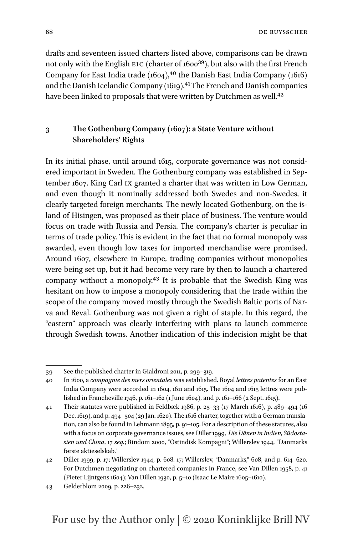drafts and seventeen issued charters listed above, comparisons can be drawn not only with the English EIC (charter of 1600<sup>[39](#page-11-0)</sup>), but also with the first French Company for East India trade  $(1604)$ ,<sup>40</sup> the Danish East India Company  $(1616)$ and the Danish Icelandic Company (1619).<sup>41</sup> The French and Danish companies have been linked to proposals that were written by Dutchmen as well.<sup>42</sup>

#### **3 The Gothenburg Company (1607): a State Venture without Shareholders' Rights**

In its initial phase, until around 1615, corporate governance was not considered important in Sweden. The Gothenburg company was established in September 1607. King Carl ix granted a charter that was written in Low German, and even though it nominally addressed both Swedes and non-Swedes, it clearly targeted foreign merchants. The newly located Gothenburg, on the island of Hisingen, was proposed as their place of business. The venture would focus on trade with Russia and Persia. The company's charter is peculiar in terms of trade policy. This is evident in the fact that no formal monopoly was awarded, even though low taxes for imported merchandise were promised. Around 1607, elsewhere in Europe, trading companies without monopolies were being set up, but it had become very rare by then to launch a chartered company without a monopoly[.43](#page-11-4) It is probable that the Swedish King was hesitant on how to impose a monopoly considering that the trade within the scope of the company moved mostly through the Swedish Baltic ports of Narva and Reval. Gothenburg was not given a right of staple. In this regard, the "eastern" approach was clearly interfering with plans to launch commerce through Swedish towns. Another indication of this indecision might be that

<span id="page-11-0"></span><sup>39</sup> See the published charter in Gialdroni 2011, p. 299–319.

<span id="page-11-1"></span><sup>40</sup> In 1600, a *compagnie des mers orientales* was established. Royal *lettres patentes* for an East India Company were accorded in 1604, 1611 and 1615. The 1604 and 1615 lettres were published in Francheville 1746, p. 161–162 (1 June 1604), and p. 161–166 (2 Sept. 1615).

<span id="page-11-2"></span><sup>41</sup> Their statutes were published in Feldbæk 1986, p. 25–33 (17 March 1616), p. 489–494 (16 Dec. 1619), and p. 494–504 (29 Jan. 1620). The 1616 charter, together with a German translation, can also be found in Lehmann 1895, p. 91–105. For a description of these statutes, also with a focus on corporate governance issues, see Diller 1999, *Die Dänen in Indien, Südostasien und China*, 17 *seq.*; Rindom 2000, "Ostindisk Kompagni"; Willerslev 1944, "Danmarks første aktieselskab."

<span id="page-11-3"></span><sup>42</sup> Diller 1999, p. 17; Willerslev 1944, p. 608. 17; Willerslev, "Danmarks," 608, and p. 614–620. For Dutchmen negotiating on chartered companies in France, see Van Dillen 1958, p. 41 (Pieter Lijntgens 1604); Van Dillen 1930, p. 5–10 (Isaac Le Maire 1605–1610).

<span id="page-11-4"></span><sup>43</sup> Gelderblom 2009, p. 226–232.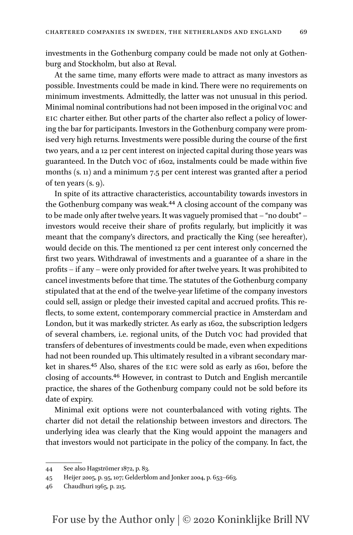investments in the Gothenburg company could be made not only at Gothenburg and Stockholm, but also at Reval.

At the same time, many efforts were made to attract as many investors as possible. Investments could be made in kind. There were no requirements on minimum investments. Admittedly, the latter was not unusual in this period. Minimal nominal contributions had not been imposed in the original voc and EIC charter either. But other parts of the charter also reflect a policy of lowering the bar for participants. Investors in the Gothenburg company were promised very high returns. Investments were possible during the course of the first two years, and a 12 per cent interest on injected capital during those years was guaranteed. In the Dutch voc of 1602, instalments could be made within five months (s. 11) and a minimum 7.5 per cent interest was granted after a period of ten years (s. 9).

In spite of its attractive characteristics, accountability towards investors in the Gothenburg company was weak[.44](#page-12-0) A closing account of the company was to be made only after twelve years. It was vaguely promised that – "no doubt" – investors would receive their share of profits regularly, but implicitly it was meant that the company's directors, and practically the King (see hereafter), would decide on this. The mentioned 12 per cent interest only concerned the first two years. Withdrawal of investments and a guarantee of a share in the profits – if any – were only provided for after twelve years. It was prohibited to cancel investments before that time. The statutes of the Gothenburg company stipulated that at the end of the twelve-year lifetime of the company investors could sell, assign or pledge their invested capital and accrued profits. This reflects, to some extent, contemporary commercial practice in Amsterdam and London, but it was markedly stricter. As early as 1602, the subscription ledgers of several chambers, i.e. regional units, of the Dutch voc had provided that transfers of debentures of investments could be made, even when expeditions had not been rounded up. This ultimately resulted in a vibrant secondary market in shares[.45](#page-12-1) Also, shares of the eic were sold as early as 1601, before the closing of accounts[.46](#page-12-2) However, in contrast to Dutch and English mercantile practice, the shares of the Gothenburg company could not be sold before its date of expiry.

Minimal exit options were not counterbalanced with voting rights. The charter did not detail the relationship between investors and directors. The underlying idea was clearly that the King would appoint the managers and that investors would not participate in the policy of the company. In fact, the

<span id="page-12-0"></span><sup>44</sup> See also Hagströmer 1872, p. 83.

<span id="page-12-1"></span><sup>45</sup> Heijer 2005, p. 95, 107; Gelderblom and Jonker 2004, p. 653–663.

<span id="page-12-2"></span><sup>46</sup> Chaudhuri 1965, p. 215.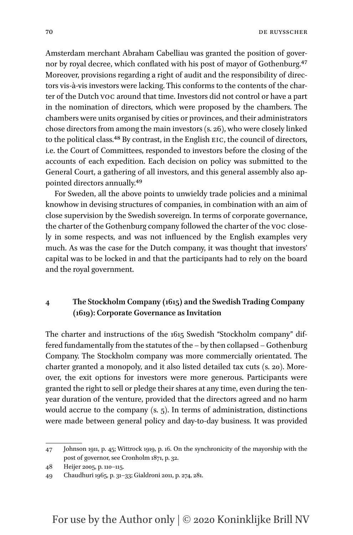Amsterdam merchant Abraham Cabelliau was granted the position of governor by royal decree, which conflated with his post of mayor of Gothenburg.<sup>47</sup> Moreover, provisions regarding a right of audit and the responsibility of directors vis-à-vis investors were lacking. This conforms to the contents of the charter of the Dutch voc around that time. Investors did not control or have a part in the nomination of directors, which were proposed by the chambers. The chambers were units organised by cities or provinces, and their administrators chose directors from among the main investors (s. 26), who were closely linked to the political class.<sup>48</sup> By contrast, in the English EIC, the council of directors, i.e. the Court of Committees, responded to investors before the closing of the accounts of each expedition. Each decision on policy was submitted to the General Court, a gathering of all investors, and this general assembly also appointed directors annually[.49](#page-13-2)

For Sweden, all the above points to unwieldy trade policies and a minimal knowhow in devising structures of companies, in combination with an aim of close supervision by the Swedish sovereign. In terms of corporate governance, the charter of the Gothenburg company followed the charter of the voc closely in some respects, and was not influenced by the English examples very much. As was the case for the Dutch company, it was thought that investors' capital was to be locked in and that the participants had to rely on the board and the royal government.

#### **4 The Stockholm Company (1615) and the Swedish Trading Company (1619): Corporate Governance as Invitation**

The charter and instructions of the 1615 Swedish "Stockholm company" differed fundamentally from the statutes of the – by then collapsed – Gothenburg Company. The Stockholm company was more commercially orientated. The charter granted a monopoly, and it also listed detailed tax cuts (s. 20). Moreover, the exit options for investors were more generous. Participants were granted the right to sell or pledge their shares at any time, even during the tenyear duration of the venture, provided that the directors agreed and no harm would accrue to the company (s. 5). In terms of administration, distinctions were made between general policy and day-to-day business. It was provided

<span id="page-13-0"></span><sup>47</sup> Johnson 1911, p. 45; Wittrock 1919, p. 16. On the synchronicity of the mayorship with the post of governor, see Cronholm 1871, p. 32.

<span id="page-13-1"></span><sup>48</sup> Heijer 2005, p. 110–115.

<span id="page-13-2"></span><sup>49</sup> Chaudhuri 1965, p. 31–33; Gialdroni 2011, p. 274, 281.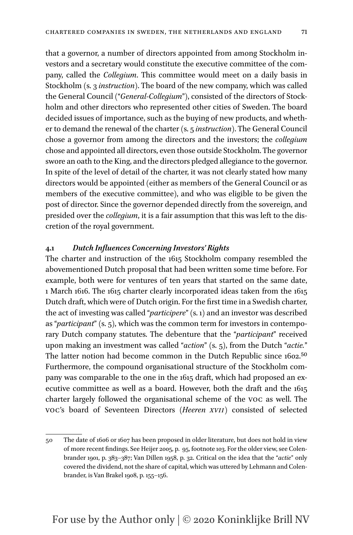that a governor, a number of directors appointed from among Stockholm investors and a secretary would constitute the executive committee of the company, called the *Collegium*. This committee would meet on a daily basis in Stockholm (s. 3 *instruction*). The board of the new company, which was called the General Council ("*General*-*Collegium*"), consisted of the directors of Stockholm and other directors who represented other cities of Sweden. The board decided issues of importance, such as the buying of new products, and whether to demand the renewal of the charter (s. 5 *instruction*). The General Council chose a governor from among the directors and the investors; the *collegium* chose and appointed all directors, even those outside Stockholm. The governor swore an oath to the King, and the directors pledged allegiance to the governor. In spite of the level of detail of the charter, it was not clearly stated how many directors would be appointed (either as members of the General Council or as members of the executive committee), and who was eligible to be given the post of director. Since the governor depended directly from the sovereign, and presided over the *collegium*, it is a fair assumption that this was left to the dis-

#### **4.1** *Dutch Influences Concerning Investors' Rights*

cretion of the royal government.

The charter and instruction of the 1615 Stockholm company resembled the abovementioned Dutch proposal that had been written some time before. For example, both were for ventures of ten years that started on the same date, 1 March 1616. The 1615 charter clearly incorporated ideas taken from the 1615 Dutch draft, which were of Dutch origin. For the first time in a Swedish charter, the act of investing was called "*participere*" (s. 1) and an investor was described as "*participant*" (s. 5), which was the common term for investors in contemporary Dutch company statutes. The debenture that the "*participant*" received upon making an investment was called "*action*" (s. 5), from the Dutch "*actie.*" The latter notion had become common in the Dutch Republic since 1602.<sup>[50](#page-14-0)</sup> Furthermore, the compound organisational structure of the Stockholm company was comparable to the one in the 1615 draft, which had proposed an executive committee as well as a board. However, both the draft and the 1615 charter largely followed the organisational scheme of the voc as well. The voc's board of Seventeen Directors (*Heeren xvii*) consisted of selected

<span id="page-14-0"></span><sup>50</sup> The date of 1606 or 1607 has been proposed in older literature, but does not hold in view of more recent findings. See Heijer 2005, p. 95, footnote 103. For the older view, see Colenbrander 1901, p. 383–387; Van Dillen 1958, p. 32. Critical on the idea that the "*actie*" only covered the dividend, not the share of capital, which was uttered by Lehmann and Colenbrander, is Van Brakel 1908, p. 155–156.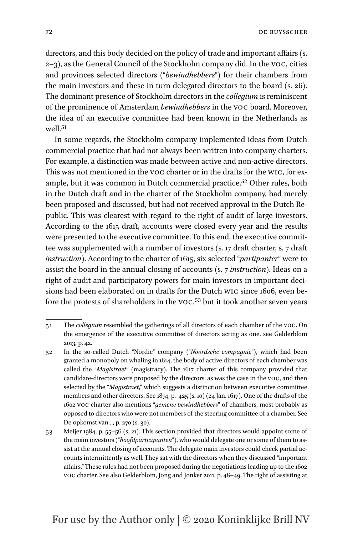directors, and this body decided on the policy of trade and important affairs (s. 2–3), as the General Council of the Stockholm company did. In the voc, cities and provinces selected directors ("*bewindhebbers*") for their chambers from the main investors and these in turn delegated directors to the board (s. 26). The dominant presence of Stockholm directors in the *collegium* is reminiscent of the prominence of Amsterdam *bewindhebbers* in the voc board. Moreover, the idea of an executive committee had been known in the Netherlands as  $w$ ell 51

In some regards, the Stockholm company implemented ideas from Dutch commercial practice that had not always been written into company charters. For example, a distinction was made between active and non-active directors. This was not mentioned in the voc charter or in the drafts for the wic, for example, but it was common in Dutch commercial practice.[52](#page-15-1) Other rules, both in the Dutch draft and in the charter of the Stockholm company, had merely been proposed and discussed, but had not received approval in the Dutch Republic. This was clearest with regard to the right of audit of large investors. According to the 1615 draft, accounts were closed every year and the results were presented to the executive committee. To this end, the executive committee was supplemented with a number of investors (s. 17 draft charter, s. 7 draft *instruction*). According to the charter of 1615, six selected "*partipanter*" were to assist the board in the annual closing of accounts (s. 7 *instruction*). Ideas on a right of audit and participatory powers for main investors in important decisions had been elaborated on in drafts for the Dutch wic since 1606, even be-fore the protests of shareholders in the voc,<sup>[53](#page-15-2)</sup> but it took another seven years

<span id="page-15-0"></span><sup>51</sup> The *collegium* resembled the gatherings of all directors of each chamber of the voc. On the emergence of the executive committee of directors acting as one, see Gelderblom 2013, p. 42.

<span id="page-15-1"></span><sup>52</sup> In the so-called Dutch "Nordic" company ("*Noordsche compagnie*"), which had been granted a monopoly on whaling in 1614, the body of active directors of each chamber was called the "*Magistraet*" (magistracy). The 1617 charter of this company provided that candidate-directors were proposed by the directors, as was the case in the voc, and then selected by the "*Magistraet*," which suggests a distinction between executive committee members and other directors. See 1874, p. 425 (s. 10) (24 Jan. 1617). One of the drafts of the 1602 voc charter also mentions "*gemene bewindhebbers*" of chambers, most probably as opposed to directors who were not members of the steering committee of a chamber. See De opkomst van..., p. 270 (s. 30).

<span id="page-15-2"></span><sup>53</sup> Meijer 1984, p. 55–56 (s. 21). This section provided that directors would appoint some of the main investors ("*hoofdparticipanten*"), who would delegate one or some of them to assist at the annual closing of accounts. The delegate main investors could check partial accounts intermittently as well. They sat with the directors when they discussed "important affairs." These rules had not been proposed during the negotiations leading up to the 1602 voc charter. See also Gelderblom, Jong and Jonker 2011, p. 48–49. The right of assisting at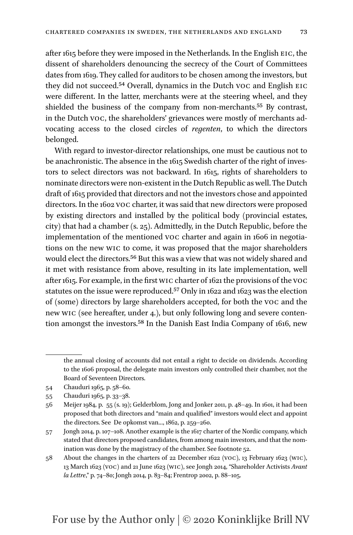after 1615 before they were imposed in the Netherlands. In the English eic, the dissent of shareholders denouncing the secrecy of the Court of Committees dates from 1619. They called for auditors to be chosen among the investors, but they did not succeed.[54](#page-16-0) Overall, dynamics in the Dutch voc and English eic were different. In the latter, merchants were at the steering wheel, and they shielded the business of the company from non-merchants.[55](#page-16-1) By contrast, in the Dutch voc, the shareholders' grievances were mostly of merchants advocating access to the closed circles of *regenten*, to which the directors belonged.

With regard to investor-director relationships, one must be cautious not to be anachronistic. The absence in the 1615 Swedish charter of the right of investors to select directors was not backward. In 1615, rights of shareholders to nominate directors were non-existent in the Dutch Republic as well. The Dutch draft of 1615 provided that directors and not the investors chose and appointed directors. In the 1602 voc charter, it was said that new directors were proposed by existing directors and installed by the political body (provincial estates, city) that had a chamber (s. 25). Admittedly, in the Dutch Republic, before the implementation of the mentioned voc charter and again in 1606 in negotiations on the new wic to come, it was proposed that the major shareholders would elect the directors[.56](#page-16-2) But this was a view that was not widely shared and it met with resistance from above, resulting in its late implementation, well after 1615. For example, in the first wic charter of 1621 the provisions of the voc statutes on the issue were reproduced[.57](#page-16-3) Only in 1622 and 1623 was the election of (some) directors by large shareholders accepted, for both the voc and the new wic (see hereafter, under 4.), but only following long and severe contention amongst the investors.[58](#page-16-4) In the Danish East India Company of 1616, new

the annual closing of accounts did not entail a right to decide on dividends. According to the 1606 proposal, the delegate main investors only controlled their chamber, not the Board of Seventeen Directors.

<span id="page-16-0"></span><sup>54</sup> Chauduri 1965, p. 58–60.

<span id="page-16-1"></span><sup>55</sup> Chauduri 1965, p. 33–38.

<span id="page-16-2"></span><sup>56</sup> Meijer 1984, p. 55 (s. 19); Gelderblom, Jong and Jonker 2011, p. 48–49. In 1601, it had been proposed that both directors and "main and qualified" investors would elect and appoint the directors. See De opkomst van..., 1862, p. 259–260.

<span id="page-16-3"></span><sup>57</sup> Jongh 2014, p. 107–108. Another example is the 1617 charter of the Nordic company, which stated that directors proposed candidates, from among main investors, and that the nomination was done by the magistracy of the chamber. See footnote 52.

<span id="page-16-4"></span><sup>58</sup> About the changes in the charters of 22 December 1622 (voc), 13 February 1623 (wic), 13 March 1623 (voc) and 21 June 1623 (wic), see Jongh 2014, "Shareholder Activists *Avant la Lettre*," p. 74–80; Jongh 2014, p. 83–84; Frentrop 2002, p. 88–105.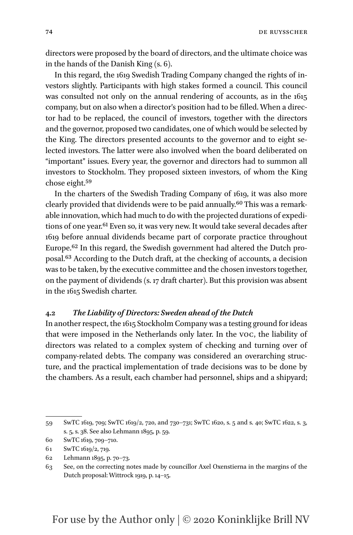directors were proposed by the board of directors, and the ultimate choice was in the hands of the Danish King (s. 6).

In this regard, the 1619 Swedish Trading Company changed the rights of investors slightly. Participants with high stakes formed a council. This council was consulted not only on the annual rendering of accounts, as in the 1615 company, but on also when a director's position had to be filled. When a director had to be replaced, the council of investors, together with the directors and the governor, proposed two candidates, one of which would be selected by the King. The directors presented accounts to the governor and to eight selected investors. The latter were also involved when the board deliberated on "important" issues. Every year, the governor and directors had to summon all investors to Stockholm. They proposed sixteen investors, of whom the King chose eight.[59](#page-17-0)

In the charters of the Swedish Trading Company of 1619, it was also more clearly provided that dividends were to be paid annually.[60](#page-17-1) This was a remarkable innovation, which had much to do with the projected durations of expedi-tions of one year.<sup>[61](#page-17-2)</sup> Even so, it was very new. It would take several decades after 1619 before annual dividends became part of corporate practice throughout Europe[.62](#page-17-3) In this regard, the Swedish government had altered the Dutch proposal[.63](#page-17-4) According to the Dutch draft, at the checking of accounts, a decision was to be taken, by the executive committee and the chosen investors together, on the payment of dividends (s. 17 draft charter). But this provision was absent in the 1615 Swedish charter.

#### **4.2** *The Liability of Directors: Sweden ahead of the Dutch*

In another respect, the 1615 Stockholm Company was a testing ground for ideas that were imposed in the Netherlands only later. In the voc, the liability of directors was related to a complex system of checking and turning over of company-related debts. The company was considered an overarching structure, and the practical implementation of trade decisions was to be done by the chambers. As a result, each chamber had personnel, ships and a shipyard;

<span id="page-17-0"></span><sup>59</sup> SwTC 1619, 709; SwTC 1619/2, 720, and 730–731; SwTC 1620, s. 5 and s. 40; SwTC 1622, s. 3, s. 5, s. 38. See also Lehmann 1895, p. 59.

<span id="page-17-1"></span><sup>60</sup> SwTC 1619, 709–710.

<span id="page-17-2"></span><sup>61</sup> SwTC 1619/2, 719.

<span id="page-17-3"></span><sup>62</sup> Lehmann 1895, p. 70–73.

<span id="page-17-4"></span><sup>63</sup> See, on the correcting notes made by councillor Axel Oxenstierna in the margins of the Dutch proposal: Wittrock 1919, p. 14–15.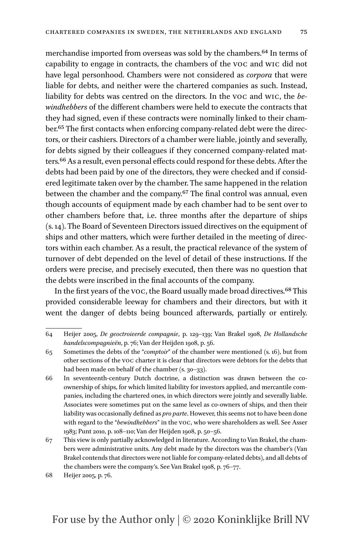merchandise imported from overseas was sold by the chambers.<sup>64</sup> In terms of capability to engage in contracts, the chambers of the voc and wic did not have legal personhood. Chambers were not considered as *corpora* that were liable for debts, and neither were the chartered companies as such. Instead, liability for debts was centred on the directors. In the voc and wic, the *bewindhebbers* of the different chambers were held to execute the contracts that they had signed, even if these contracts were nominally linked to their chamber[.65](#page-18-1) The first contacts when enforcing company-related debt were the directors, or their cashiers. Directors of a chamber were liable, jointly and severally, for debts signed by their colleagues if they concerned company-related matters[.66](#page-18-2) As a result, even personal effects could respond for these debts. After the debts had been paid by one of the directors, they were checked and if considered legitimate taken over by the chamber. The same happened in the relation between the chamber and the company[.67](#page-18-3) The final control was annual, even though accounts of equipment made by each chamber had to be sent over to other chambers before that, i.e. three months after the departure of ships (s. 14). The Board of Seventeen Directors issued directives on the equipment of ships and other matters, which were further detailed in the meeting of directors within each chamber. As a result, the practical relevance of the system of turnover of debt depended on the level of detail of these instructions. If the orders were precise, and precisely executed, then there was no question that the debts were inscribed in the final accounts of the company.

In the first years of the voc, the Board usually made broad directives.[68](#page-18-4) This provided considerable leeway for chambers and their directors, but with it went the danger of debts being bounced afterwards, partially or entirely.

<span id="page-18-0"></span><sup>64</sup> Heijer 2005, *De geoctroieerde compagnie*, p. 129–139; Van Brakel 1908, *De Hollandsche handelscompagnieën*, p. 76; Van der Heijden 1908, p. 56.

<span id="page-18-1"></span><sup>65</sup> Sometimes the debts of the "*comptoir*" of the chamber were mentioned (s. 16), but from other sections of the voc charter it is clear that directors were debtors for the debts that had been made on behalf of the chamber (s. 30-33).

<span id="page-18-2"></span><sup>66</sup> In seventeenth-century Dutch doctrine, a distinction was drawn between the coownership of ships, for which limited liability for investors applied, and mercantile companies, including the chartered ones, in which directors were jointly and severally liable. Associates were sometimes put on the same level as co-owners of ships, and then their liability was occasionally defined as *pro parte*. However, this seems not to have been done with regard to the "*bewindhebbers*" in the voc, who were shareholders as well. See Asser 1983; Punt 2010, p. 108–110; Van der Heijden 1908, p. 50–56.

<span id="page-18-3"></span><sup>67</sup> This view is only partially acknowledged in literature. According to Van Brakel, the chambers were administrative units. Any debt made by the directors was the chamber's (Van Brakel contends that directors were not liable for company-related debts), and all debts of the chambers were the company's. See Van Brakel 1908, p. 76–77.

<span id="page-18-4"></span><sup>68</sup> Heijer 2005, p. 76.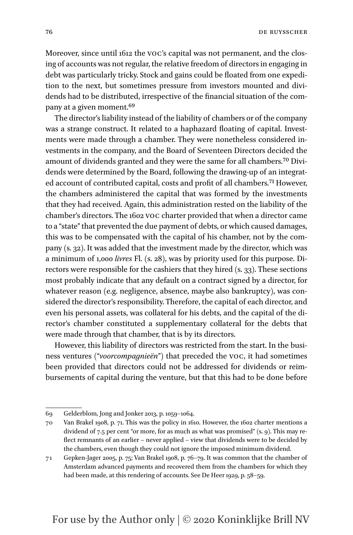Moreover, since until 1612 the voc's capital was not permanent, and the closing of accounts was not regular, the relative freedom of directors in engaging in debt was particularly tricky. Stock and gains could be floated from one expedition to the next, but sometimes pressure from investors mounted and dividends had to be distributed, irrespective of the financial situation of the company at a given moment.[69](#page-19-0)

The director's liability instead of the liability of chambers or of the company was a strange construct. It related to a haphazard floating of capital. Investments were made through a chamber. They were nonetheless considered investments in the company, and the Board of Seventeen Directors decided the amount of dividends granted and they were the same for all chambers[.70](#page-19-1) Dividends were determined by the Board, following the drawing-up of an integrated account of contributed capital, costs and profit of all chambers.<sup>71</sup> However, the chambers administered the capital that was formed by the investments that they had received. Again, this administration rested on the liability of the chamber's directors. The 1602 voc charter provided that when a director came to a "state" that prevented the due payment of debts, or which caused damages, this was to be compensated with the capital of his chamber, not by the company (s. 32). It was added that the investment made by the director, which was a minimum of 1,000 *livres* Fl. (s. 28), was by priority used for this purpose. Directors were responsible for the cashiers that they hired (s. 33). These sections most probably indicate that any default on a contract signed by a director, for whatever reason (e.g. negligence, absence, maybe also bankruptcy), was considered the director's responsibility. Therefore, the capital of each director, and even his personal assets, was collateral for his debts, and the capital of the director's chamber constituted a supplementary collateral for the debts that were made through that chamber, that is by its directors.

However, this liability of directors was restricted from the start. In the business ventures ("*voorcompagnieën*") that preceded the voc, it had sometimes been provided that directors could not be addressed for dividends or reimbursements of capital during the venture, but that this had to be done before

<span id="page-19-0"></span><sup>69</sup> Gelderblom, Jong and Jonker 2013, p. 1059–1064.

<span id="page-19-1"></span><sup>70</sup> Van Brakel 1908, p. 71. This was the policy in 1610. However, the 1602 charter mentions a dividend of 7.5 per cent "or more, for as much as what was promised" (s. 9). This may reflect remnants of an earlier – never applied – view that dividends were to be decided by the chambers, even though they could not ignore the imposed minimum dividend.

<span id="page-19-2"></span><sup>71</sup> Gepken-Jager 2005, p. 75; Van Brakel 1908, p. 76–79. It was common that the chamber of Amsterdam advanced payments and recovered them from the chambers for which they had been made, at this rendering of accounts. See De Heer 1929, p. 58–59.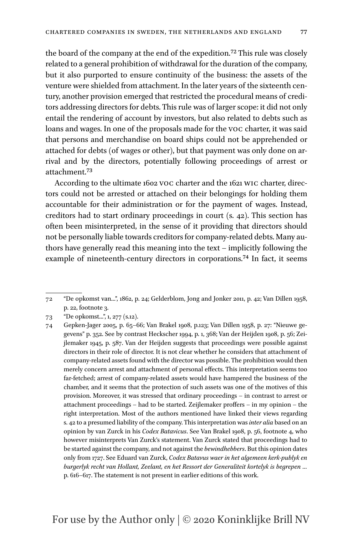the board of the company at the end of the expedition[.72](#page-20-0) This rule was closely related to a general prohibition of withdrawal for the duration of the company, but it also purported to ensure continuity of the business: the assets of the venture were shielded from attachment. In the later years of the sixteenth century, another provision emerged that restricted the procedural means of creditors addressing directors for debts. This rule was of larger scope: it did not only entail the rendering of account by investors, but also related to debts such as loans and wages. In one of the proposals made for the voc charter, it was said that persons and merchandise on board ships could not be apprehended or attached for debts (of wages or other), but that payment was only done on arrival and by the directors, potentially following proceedings of arrest or attachment.[73](#page-20-1)

According to the ultimate 1602 voc charter and the 1621 wic charter, directors could not be arrested or attached on their belongings for holding them accountable for their administration or for the payment of wages. Instead, creditors had to start ordinary proceedings in court (s. 42). This section has often been misinterpreted, in the sense of it providing that directors should not be personally liable towards creditors for company-related debts. Many authors have generally read this meaning into the text – implicitly following the example of nineteenth-century directors in corporations.<sup>74</sup> In fact, it seems

<span id="page-20-0"></span><sup>72</sup> "De opkomst van...", 1862, p. 24; Gelderblom, Jong and Jonker 2011, p. 42; Van Dillen 1958, p. 22, footnote 3.

<span id="page-20-1"></span><sup>73</sup> "De opkomst...", 1, 277 (s.12).

<span id="page-20-2"></span><sup>74</sup> Gepken-Jager 2005, p. 65–66; Van Brakel 1908, p.123; Van Dillen 1958, p. 27: "Nieuwe gegevens" p. 352. See by contrast Heckscher 1994, p. 1, 368; Van der Heijden 1908, p. 56; Zeijlemaker 1945, p. 587. Van der Heijden suggests that proceedings were possible against directors in their role of director. It is not clear whether he considers that attachment of company-related assets found with the director was possible. The prohibition would then merely concern arrest and attachment of personal effects. This interpretation seems too far-fetched; arrest of company-related assets would have hampered the business of the chamber, and it seems that the protection of such assets was one of the motives of this provision. Moreover, it was stressed that ordinary proceedings – in contrast to arrest or attachment proceedings – had to be started. Zeijlemaker proffers – in my opinion – the right interpretation. Most of the authors mentioned have linked their views regarding s. 42 to a presumed liability of the company. This interpretation was *inter alia* based on an opinion by van Zurck in his *Codex Batavicus*. See Van Brakel 1908, p. 56, footnote 4, who however misinterprets Van Zurck's statement. Van Zurck stated that proceedings had to be started against the company, and not against the *bewindhebbers*. But this opinion dates only from 1727. See Eduard van Zurck, *Codex Batavus waer in het algemeen kerk-publyk en burgerlyk recht van Hollant, Zeelant, en het Ressort der Generaliteit kortelyk is begrepen …* p. 616–617. The statement is not present in earlier editions of this work.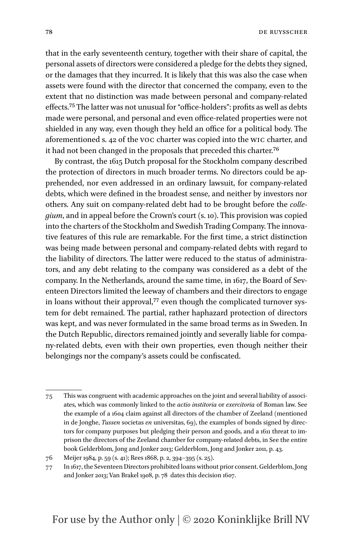that in the early seventeenth century, together with their share of capital, the personal assets of directors were considered a pledge for the debts they signed, or the damages that they incurred. It is likely that this was also the case when assets were found with the director that concerned the company, even to the extent that no distinction was made between personal and company-related effects[.75](#page-21-0) The latter was not unusual for "office-holders": profits as well as debts made were personal, and personal and even office-related properties were not shielded in any way, even though they held an office for a political body. The aforementioned s. 42 of the voc charter was copied into the wic charter, and it had not been changed in the proposals that preceded this charter[.76](#page-21-1)

By contrast, the 1615 Dutch proposal for the Stockholm company described the protection of directors in much broader terms. No directors could be apprehended, nor even addressed in an ordinary lawsuit, for company-related debts, which were defined in the broadest sense, and neither by investors nor others. Any suit on company-related debt had to be brought before the *collegium*, and in appeal before the Crown's court (s. 10). This provision was copied into the charters of the Stockholm and Swedish Trading Company. The innovative features of this rule are remarkable. For the first time, a strict distinction was being made between personal and company-related debts with regard to the liability of directors. The latter were reduced to the status of administrators, and any debt relating to the company was considered as a debt of the company. In the Netherlands, around the same time, in 1617, the Board of Seventeen Directors limited the leeway of chambers and their directors to engage in loans without their approval,<sup>[77](#page-21-2)</sup> even though the complicated turnover system for debt remained. The partial, rather haphazard protection of directors was kept, and was never formulated in the same broad terms as in Sweden. In the Dutch Republic, directors remained jointly and severally liable for company-related debts, even with their own properties, even though neither their belongings nor the company's assets could be confiscated.

<span id="page-21-0"></span><sup>75</sup> This was congruent with academic approaches on the joint and several liability of associates, which was commonly linked to the *actio institoria* or *exercitoria* of Roman law. See the example of a 1604 claim against all directors of the chamber of Zeeland (mentioned in de Jonghe, *Tussen* societas *en* universitas, 69), the examples of bonds signed by directors for company purposes but pledging their person and goods, and a 1611 threat to imprison the directors of the Zeeland chamber for company-related debts, in See the entire book Gelderblom, Jong and Jonker 2013; Gelderblom, Jong and Jonker 2011, p. 43.

<span id="page-21-1"></span><sup>76</sup> Meijer 1984, p. 59 (s. 41); Rees 1868, p. 2, 394–395 (s. 25).

<span id="page-21-2"></span><sup>77</sup> In 1617, the Seventeen Directors prohibited loans without prior consent. Gelderblom, Jong and Jonker 2013; Van Brakel 1908, p. 78 dates this decision 1607.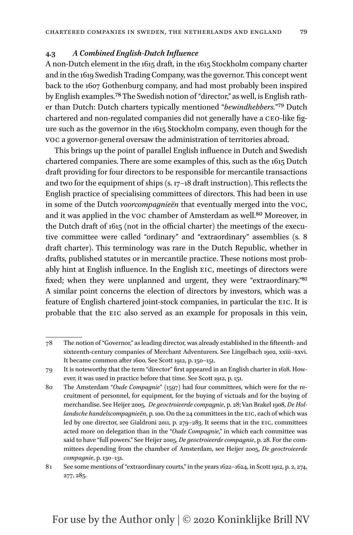#### **4.3** *A Combined English-Dutch Influence*

A non-Dutch element in the 1615 draft, in the 1615 Stockholm company charter and in the 1619 Swedish Trading Company, was the governor. This concept went back to the 1607 Gothenburg company, and had most probably been inspired by English examples[.78](#page-22-0) The Swedish notion of "director," as well, is English rather than Dutch: Dutch charters typically mentioned "*bewindhebbers.*["79](#page-22-1) Dutch chartered and non-regulated companies did not generally have a ceo-like figure such as the governor in the 1615 Stockholm company, even though for the voc a governor-general oversaw the administration of territories abroad.

This brings up the point of parallel English influence in Dutch and Swedish chartered companies. There are some examples of this, such as the 1615 Dutch draft providing for four directors to be responsible for mercantile transactions and two for the equipment of ships (s. 17–18 draft instruction). This reflects the English practice of specialising committees of directors. This had been in use in some of the Dutch *voorcompagnieën* that eventually merged into the voc, and it was applied in the voc chamber of Amsterdam as well.<sup>80</sup> Moreover, in the Dutch draft of 1615 (not in the official charter) the meetings of the executive committee were called "ordinary" and "extraordinary" assemblies (s. 8 draft charter). This terminology was rare in the Dutch Republic, whether in drafts, published statutes or in mercantile practice. These notions most probably hint at English influence. In the English EIC, meetings of directors were fixed; when they were unplanned and urgent, they were "extraordinary.["81](#page-22-3) A similar point concerns the election of directors by investors, which was a feature of English chartered joint-stock companies, in particular the eic. It is probable that the eic also served as an example for proposals in this vein,

<span id="page-22-0"></span><sup>78</sup> The notion of "Governor," as leading director, was already established in the fifteenth- and sixteenth-century companies of Merchant Adventurers. See Lingelbach 1902, xxiii–xxvi. It became common after 1600. See Scott 1912, p. 150–151.

<span id="page-22-1"></span><sup>79</sup> It is noteworthy that the term "director" first appeared in an English charter in 1618. However, it was used in practice before that time. See Scott 1912, p. 151.

<span id="page-22-2"></span><sup>80</sup> The Amsterdam "*Oude Compagnie*" (1597) had four committees, which were for the recruitment of personnel, for equipment, for the buying of victuals and for the buying of merchandise. See Heijer 2005, *De geoctroieerde compagnie*, p. 28; Van Brakel 1908, *De Hollandsche handelscompagnieën*, p. 100. On the 24 committees in the eic, each of which was led by one director, see Gialdroni 2011, p. 279–283. It seems that in the EIC, committees acted more on delegation than in the "*Oude Compagnie*," in which each committee was said to have "full powers." See Heijer 2005, *De geoctroieerde compagnie*, p. 28. For the committees depending from the chamber of Amsterdam, see Heijer 2005, *De geoctroieerde compagnie*, p. 130–131.

<span id="page-22-3"></span><sup>81</sup> See some mentions of "extraordinary courts," in the years 1622–1624, in Scott 1912, p. 2, 274, 277, 285.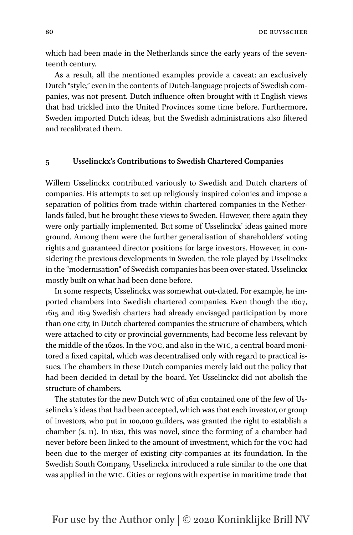80 DE RUYSSCHER

which had been made in the Netherlands since the early years of the seventeenth century.

As a result, all the mentioned examples provide a caveat: an exclusively Dutch "style," even in the contents of Dutch-language projects of Swedish companies, was not present. Dutch influence often brought with it English views that had trickled into the United Provinces some time before. Furthermore, Sweden imported Dutch ideas, but the Swedish administrations also filtered and recalibrated them.

#### **5 Usselinckx's Contributions to Swedish Chartered Companies**

Willem Usselinckx contributed variously to Swedish and Dutch charters of companies. His attempts to set up religiously inspired colonies and impose a separation of politics from trade within chartered companies in the Netherlands failed, but he brought these views to Sweden. However, there again they were only partially implemented. But some of Usselinckx' ideas gained more ground. Among them were the further generalisation of shareholders' voting rights and guaranteed director positions for large investors. However, in considering the previous developments in Sweden, the role played by Usselinckx in the "modernisation" of Swedish companies has been over-stated. Usselinckx mostly built on what had been done before.

In some respects, Usselinckx was somewhat out-dated. For example, he imported chambers into Swedish chartered companies. Even though the 1607, 1615 and 1619 Swedish charters had already envisaged participation by more than one city, in Dutch chartered companies the structure of chambers, which were attached to city or provincial governments, had become less relevant by the middle of the 1620s. In the voc, and also in the wic, a central board monitored a fixed capital, which was decentralised only with regard to practical issues. The chambers in these Dutch companies merely laid out the policy that had been decided in detail by the board. Yet Usselinckx did not abolish the structure of chambers.

The statutes for the new Dutch wic of 1621 contained one of the few of Usselinckx's ideas that had been accepted, which was that each investor, or group of investors, who put in 100,000 guilders, was granted the right to establish a chamber (s. 11). In 1621, this was novel, since the forming of a chamber had never before been linked to the amount of investment, which for the voc had been due to the merger of existing city-companies at its foundation. In the Swedish South Company, Usselinckx introduced a rule similar to the one that was applied in the wic. Cities or regions with expertise in maritime trade that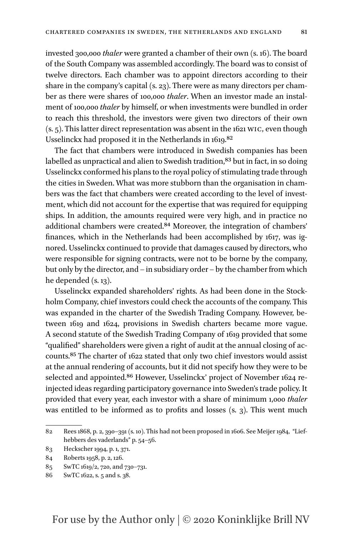invested 300,000 *thaler* were granted a chamber of their own (s. 16). The board of the South Company was assembled accordingly. The board was to consist of twelve directors. Each chamber was to appoint directors according to their share in the company's capital (s. 23). There were as many directors per chamber as there were shares of 100,000 *thaler*. When an investor made an instalment of 100,000 *thaler* by himself, or when investments were bundled in order to reach this threshold, the investors were given two directors of their own (s. 5). This latter direct representation was absent in the 1621 wic, even though Usselinckx had proposed it in the Netherlands in 1619[.82](#page-24-0)

The fact that chambers were introduced in Swedish companies has been labelled as unpractical and alien to Swedish tradition,<sup>83</sup> but in fact, in so doing Usselinckx conformed his plans to the royal policy of stimulating trade through the cities in Sweden. What was more stubborn than the organisation in chambers was the fact that chambers were created according to the level of investment, which did not account for the expertise that was required for equipping ships. In addition, the amounts required were very high, and in practice no additional chambers were created[.84](#page-24-2) Moreover, the integration of chambers' finances, which in the Netherlands had been accomplished by 1617, was ignored. Usselinckx continued to provide that damages caused by directors, who were responsible for signing contracts, were not to be borne by the company, but only by the director, and – in subsidiary order – by the chamber from which he depended (s. 13).

Usselinckx expanded shareholders' rights. As had been done in the Stockholm Company, chief investors could check the accounts of the company. This was expanded in the charter of the Swedish Trading Company. However, between 1619 and 1624, provisions in Swedish charters became more vague. A second statute of the Swedish Trading Company of 1619 provided that some "qualified" shareholders were given a right of audit at the annual closing of accounts[.85](#page-24-3) The charter of 1622 stated that only two chief investors would assist at the annual rendering of accounts, but it did not specify how they were to be selected and appointed.<sup>86</sup> However, Usselinckx' project of November 1624 reinjected ideas regarding participatory governance into Sweden's trade policy. It provided that every year, each investor with a share of minimum 1,000 *thaler* was entitled to be informed as to profits and losses (s. 3). This went much

<span id="page-24-0"></span><sup>82</sup> Rees 1868, p. 2, 390–391 (s. 10). This had not been proposed in 1606. See Meijer 1984, "Liefhebbers des vaderlands" p. 54–56.

<span id="page-24-1"></span><sup>83</sup> Heckscher 1994, p. 1, 371.

<span id="page-24-2"></span><sup>84</sup> Roberts 1958, p. 2, 126.

<span id="page-24-3"></span><sup>85</sup> SwTC 1619/2, 720, and 730–731.

<span id="page-24-4"></span><sup>86</sup> SwTC 1622, s. 5 and s. 38.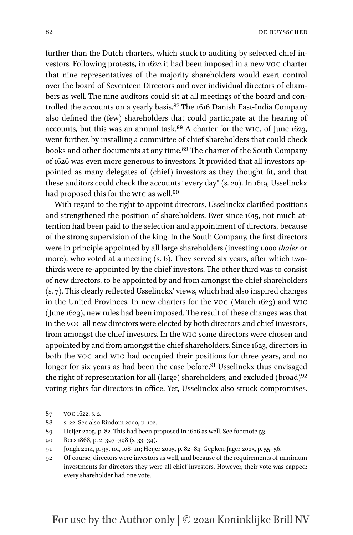82 DE RUYSSCHER

further than the Dutch charters, which stuck to auditing by selected chief investors. Following protests, in 1622 it had been imposed in a new voc charter that nine representatives of the majority shareholders would exert control over the board of Seventeen Directors and over individual directors of chambers as well. The nine auditors could sit at all meetings of the board and controlled the accounts on a yearly basis.[87](#page-25-0) The 1616 Danish East-India Company also defined the (few) shareholders that could participate at the hearing of accounts, but this was an annual task.[88](#page-25-1) A charter for the wic, of June 1623, went further, by installing a committee of chief shareholders that could check books and other documents at any time.[89](#page-25-2) The charter of the South Company of 1626 was even more generous to investors. It provided that all investors appointed as many delegates of (chief) investors as they thought fit, and that these auditors could check the accounts "every day" (s. 20). In 1619, Usselinckx had proposed this for the WIC as well.<sup>[90](#page-25-3)</sup>

With regard to the right to appoint directors, Usselinckx clarified positions and strengthened the position of shareholders. Ever since 1615, not much attention had been paid to the selection and appointment of directors, because of the strong supervision of the king. In the South Company, the first directors were in principle appointed by all large shareholders (investing 1,000 *thaler* or more), who voted at a meeting (s. 6). They served six years, after which twothirds were re-appointed by the chief investors. The other third was to consist of new directors, to be appointed by and from amongst the chief shareholders (s. 7). This clearly reflected Usselinckx' views, which had also inspired changes in the United Provinces. In new charters for the voc (March 1623) and wic (June 1623), new rules had been imposed. The result of these changes was that in the voc all new directors were elected by both directors and chief investors, from amongst the chief investors. In the wic some directors were chosen and appointed by and from amongst the chief shareholders. Since 1623, directors in both the voc and wic had occupied their positions for three years, and no longer for six years as had been the case before.<sup>91</sup> Usselinckx thus envisaged the right of representation for all (large) shareholders, and excluded (broad) $92$ voting rights for directors in office. Yet, Usselinckx also struck compromises.

<span id="page-25-0"></span><sup>87</sup> voc 1622, s. 2.

<span id="page-25-1"></span><sup>88</sup> s. 22. See also Rindom 2000, p. 102.

<span id="page-25-2"></span><sup>89</sup> Heijer 2005, p. 82. This had been proposed in 1606 as well. See footnote 53.

<span id="page-25-3"></span><sup>90</sup> Rees 1868, p. 2, 397–398 (s. 33–34).

<span id="page-25-4"></span><sup>91</sup> Jongh 2014, p. 95, 101, 108–111; Heijer 2005, p. 82–84; Gepken-Jager 2005, p. 55–56.

<span id="page-25-5"></span><sup>92</sup> Of course, directors were investors as well, and because of the requirements of minimum investments for directors they were all chief investors. However, their vote was capped: every shareholder had one vote.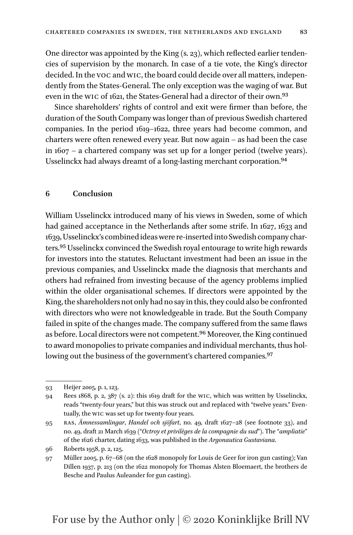One director was appointed by the King (s. 23), which reflected earlier tendencies of supervision by the monarch. In case of a tie vote, the King's director decided. In the voc and wic, the board could decide over all matters, independently from the States-General. The only exception was the waging of war. But even in the wic of 1621, the States-General had a director of their own[.93](#page-26-0)

Since shareholders' rights of control and exit were firmer than before, the duration of the South Company was longer than of previous Swedish chartered companies. In the period 1619–1622, three years had become common, and charters were often renewed every year. But now again – as had been the case in 1607 – a chartered company was set up for a longer period (twelve years). Usselinckx had always dreamt of a long-lasting merchant corporation.[94](#page-26-1)

#### **6 Conclusion**

William Usselinckx introduced many of his views in Sweden, some of which had gained acceptance in the Netherlands after some strife. In 1627, 1633 and 1639, Usselinckx's combined ideas were re-inserted into Swedish company charters[.95](#page-26-2) Usselinckx convinced the Swedish royal entourage to write high rewards for investors into the statutes. Reluctant investment had been an issue in the previous companies, and Usselinckx made the diagnosis that merchants and others had refrained from investing because of the agency problems implied within the older organisational schemes. If directors were appointed by the King, the shareholders not only had no say in this, they could also be confronted with directors who were not knowledgeable in trade. But the South Company failed in spite of the changes made. The company suffered from the same flaws as before. Local directors were not competent.<sup>96</sup> Moreover, the King continued to award monopolies to private companies and individual merchants, thus hollowing out the business of the government's chartered companies.<sup>97</sup>

<span id="page-26-3"></span>96 Roberts 1958, p. 2, 125.

<span id="page-26-0"></span><sup>93</sup> Heijer 2005, p. 1, 123.

<span id="page-26-1"></span><sup>94</sup> Rees 1868, p. 2, 387 (s. 2): this 1619 draft for the wic, which was written by Usselinckx, reads "twenty-four years," but this was struck out and replaced with "twelve years." Eventually, the wic was set up for twenty-four years.

<span id="page-26-2"></span><sup>95</sup> ras, *Ämnessamlingar*, *Handel och sjöfart*, no. 49, draft 1627–28 (see footnote 33), and no. 49, draft 21 March 1639 ("*Octroy et privilèges de la compagnie du sud*"). The "*ampliatie*" of the 1626 charter, dating 1633, was published in the *Argonautica Gustaviana*.

<span id="page-26-4"></span><sup>97</sup> Müller 2005, p. 67–68 (on the 1628 monopoly for Louis de Geer for iron gun casting); Van Dillen 1937, p. 213 (on the 1622 monopoly for Thomas Alsten Bloemaert, the brothers de Besche and Paulus Auleander for gun casting).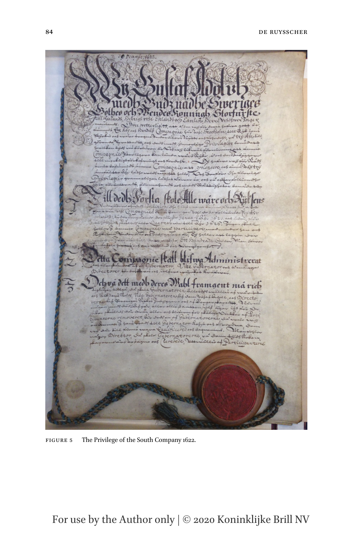

Figure 5 The Privilege of the South Company 1622.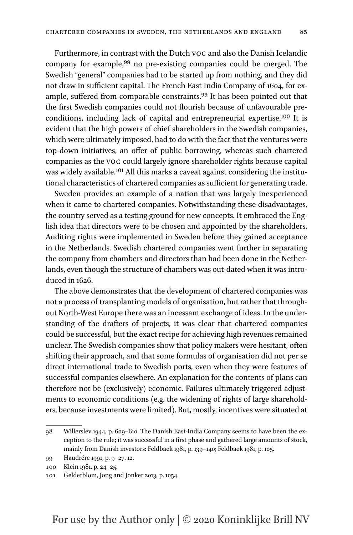Furthermore, in contrast with the Dutch voc and also the Danish Icelandic company for example[,98](#page-28-0) no pre-existing companies could be merged. The Swedish "general" companies had to be started up from nothing, and they did not draw in sufficient capital. The French East India Company of 1604, for example, suffered from comparable constraints.<sup>99</sup> It has been pointed out that the first Swedish companies could not flourish because of unfavourable preconditions, including lack of capital and entrepreneurial expertise.[100](#page-28-2) It is evident that the high powers of chief shareholders in the Swedish companies, which were ultimately imposed, had to do with the fact that the ventures were top-down initiatives, an offer of public borrowing, whereas such chartered companies as the voc could largely ignore shareholder rights because capital was widely available.<sup>101</sup> All this marks a caveat against considering the institutional characteristics of chartered companies as sufficient for generating trade.

Sweden provides an example of a nation that was largely inexperienced when it came to chartered companies. Notwithstanding these disadvantages, the country served as a testing ground for new concepts. It embraced the English idea that directors were to be chosen and appointed by the shareholders. Auditing rights were implemented in Sweden before they gained acceptance in the Netherlands. Swedish chartered companies went further in separating the company from chambers and directors than had been done in the Netherlands, even though the structure of chambers was out-dated when it was introduced in 1626.

The above demonstrates that the development of chartered companies was not a process of transplanting models of organisation, but rather that throughout North-West Europe there was an incessant exchange of ideas. In the understanding of the drafters of projects, it was clear that chartered companies could be successful, but the exact recipe for achieving high revenues remained unclear. The Swedish companies show that policy makers were hesitant, often shifting their approach, and that some formulas of organisation did not per se direct international trade to Swedish ports, even when they were features of successful companies elsewhere. An explanation for the contents of plans can therefore not be (exclusively) economic. Failures ultimately triggered adjustments to economic conditions (e.g. the widening of rights of large shareholders, because investments were limited). But, mostly, incentives were situated at

<span id="page-28-0"></span><sup>98</sup> Willerslev 1944, p. 609–610. The Danish East-India Company seems to have been the exception to the rule; it was successful in a first phase and gathered large amounts of stock, mainly from Danish investors: Feldbaek 1981, p. 139–140; Feldbaek 1981, p. 105.

<span id="page-28-1"></span><sup>99</sup> Haudrére 1991, p. 9–27. 12.

<span id="page-28-2"></span><sup>100</sup> Klein 1981, p. 24–25.

<span id="page-28-3"></span><sup>101</sup> Gelderblom, Jong and Jonker 2013, p. 1054.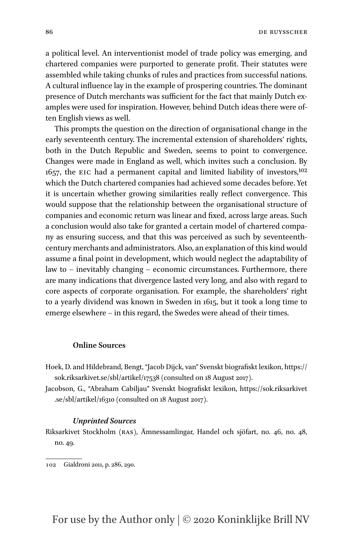86 DE RUYSSCHER

a political level. An interventionist model of trade policy was emerging, and chartered companies were purported to generate profit. Their statutes were assembled while taking chunks of rules and practices from successful nations. A cultural influence lay in the example of prospering countries. The dominant presence of Dutch merchants was sufficient for the fact that mainly Dutch examples were used for inspiration. However, behind Dutch ideas there were often English views as well.

This prompts the question on the direction of organisational change in the early seventeenth century. The incremental extension of shareholders' rights, both in the Dutch Republic and Sweden, seems to point to convergence. Changes were made in England as well, which invites such a conclusion. By  $1657$ , the EIC had a permanent capital and limited liability of investors,<sup>[102](#page-29-0)</sup> which the Dutch chartered companies had achieved some decades before. Yet it is uncertain whether growing similarities really reflect convergence. This would suppose that the relationship between the organisational structure of companies and economic return was linear and fixed, across large areas. Such a conclusion would also take for granted a certain model of chartered company as ensuring success, and that this was perceived as such by seventeenthcentury merchants and administrators. Also, an explanation of this kind would assume a final point in development, which would neglect the adaptability of law to – inevitably changing – economic circumstances. Furthermore, there are many indications that divergence lasted very long, and also with regard to core aspects of corporate organisation. For example, the shareholders' right to a yearly dividend was known in Sweden in 1615, but it took a long time to emerge elsewhere – in this regard, the Swedes were ahead of their times.

#### **Online Sources**

- Hoek, D. and Hildebrand, Bengt, "Jacob Dijck, van" Svenskt biografiskt lexikon, [https://](https://sok.riksarkivet.se/sbl/artikel/17538) [sok.riksarkivet.se/sbl/artikel/17538](https://sok.riksarkivet.se/sbl/artikel/17538) (consulted on 18 August 2017).
- Jacobson, G., "Abraham Cabiljau" Svenskt biografiskt lexikon, [https://sok.riksarkivet](https://sok.riksarkivet.se/sbl/artikel/16310) [.se/sbl/artikel/16310](https://sok.riksarkivet.se/sbl/artikel/16310) (consulted on 18 August 2017).

#### *Unprinted Sources*

Riksarkivet Stockholm (ras), Ämnessamlingar, Handel och sjöfart, no. 46, no. 48, no. 49.

<span id="page-29-0"></span><sup>102</sup> Gialdroni 2011, p. 286, 290.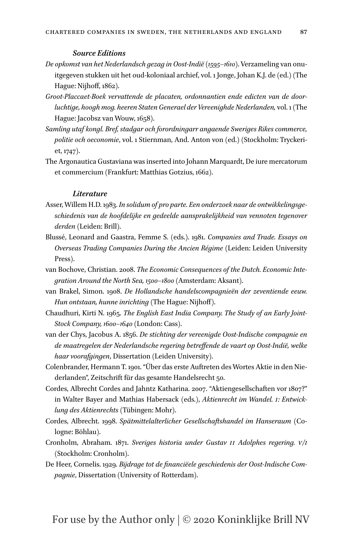- *De opkomst van het Nederlandsch gezag in Oost-Indië (1595–1610)*. Verzameling van onuitgegeven stukken uit het oud-koloniaal archief, vol. 1 Jonge, Johan K.J. de (ed.) (The Hague: Nijhoff, 1862).
- *Groot-Placcaet-Boek vervattende de placaten, ordonnantien ende edicten van de doorluchtige, hoogh mog. heeren Staten Generael der Vereenighde Nederlanden,* vol. 1 (The Hague: Jacobsz van Wouw, 1658).
- *Samling utaf kongl. Bref, stadgar och forordningarr angaende Sweriges Rikes commerce, politie och oeconomie*, vol. 1 Stiernman, And. Anton von (ed.) (Stockholm: Tryckeriet, 1747).
- The Argonautica Gustaviana was inserted into Johann Marquardt, De iure mercatorum et commercium (Frankfurt: Matthias Gotzius, 1662).

#### *Literature*

- Asser, Willem H.D. 1983. *In solidum of pro parte. Een onderzoek naar de ontwikkelingsgeschiedenis van de hoofdelijke en gedeelde aansprakelijkheid van vennoten tegenover derden* (Leiden: Brill).
- Blussé, Leonard and Gaastra, Femme S. (eds.). 1981. *Companies and Trade. Essays on Overseas Trading Companies During the Ancien Régime* (Leiden: Leiden University Press).
- van Bochove, Christian. 2008. *The Economic Consequences of the Dutch. Economic Integration Around the North Sea, 1500–1800* (Amsterdam: Aksant).
- van Brakel, Simon. 1908. *De Hollandsche handelscompagnieën der zeventiende eeuw. Hun ontstaan, hunne inrichting* (The Hague: Nijhoff).
- Chaudhuri, Kirti N. 1965. *The English East India Company. The Study of an Early Joint-Stock Company, 1600–1640* (London: Cass).
- van der Chys, Jacobus A. 1856. *De stichting der vereenigde Oost-Indische compagnie en de maatregelen der Nederlandsche regering betreffende de vaart op Oost-Indië, welke haar voorafgingen*, Dissertation (Leiden University).
- Colenbrander, Hermann T. 1901. "Über das erste Auftreten des Wortes Aktie in den Niederlanden", Zeitschrift für das gesamte Handelsrecht 50.
- Cordes, Albrecht Cordes and Jahntz Katharina. 2007. "Aktiengesellschaften vor 1807?" in Walter Bayer and Mathias Habersack (eds.), *Aktienrecht im Wandel. i: Entwicklung des Aktienrechts* (Tübingen: Mohr).
- Cordes, Albrecht. 1998. *Spätmittelalterlicher Gesellschaftshandel im Hanseraum* (Cologne: Böhlau).
- Cronholm, Abraham. 1871. *Sveriges historia under Gustav ii Adolphes regering. v/i* (Stockholm: Cronholm).
- De Heer, Cornelis. 1929. *Bijdrage tot de financiëele geschiedenis der Oost-Indische Compagnie*, Dissertation (University of Rotterdam).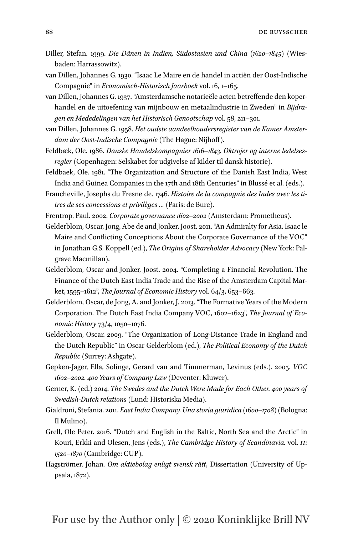- Diller, Stefan. 1999. *Die Dänen in Indien, Südostasien und China (1620–1845)* (Wiesbaden: Harrassowitz).
- van Dillen, Johannes G. 1930. "Isaac Le Maire en de handel in actiën der Oost-Indische Compagnie" in *Economisch-Historisch Jaarboek* vol. 16, 1–165.
- van Dillen, Johannes G. 1937. "Amsterdamsche notarieële acten betreffende den koperhandel en de uitoefening van mijnbouw en metaalindustrie in Zweden" in *Bijdragen en Mededelingen van het Historisch Genootschap* vol. 58, 211–301.
- van Dillen, Johannes G. 1958. *Het oudste aandeelhoudersregister van de Kamer Amsterdam der Oost-Indische Compagnie* (The Hague: Nijhoff).
- Feldbæk, Ole. 1986. *Danske Handelskompagnier 1616–1843. Oktrojer og interne ledelsesregler* (Copenhagen: Selskabet for udgivelse af kilder til dansk historie).
- Feldbaek, Ole. 1981. "The Organization and Structure of the Danish East India, West India and Guinea Companies in the 17th and 18th Centuries" in Blussé et al. (eds.).
- Francheville, Josephs du Fresne de. 1746. *Histoire de la compagnie des Indes avec les titres de ses concessions et privilèges …* (Paris: de Bure).
- Frentrop, Paul. 2002. *Corporate governance 1602–2002* (Amsterdam: Prometheus).
- Gelderblom, Oscar, Jong, Abe de and Jonker, Joost. 2011. "An Admiralty for Asia. Isaac le Maire and Conflicting Conceptions About the Corporate Governance of the VOC" in Jonathan G.S. Koppell (ed.), *The Origins of Shareholder Advocacy* (New York: Palgrave Macmillan).
- Gelderblom, Oscar and Jonker, Joost. 2004. "Completing a Financial Revolution. The Finance of the Dutch East India Trade and the Rise of the Amsterdam Capital Market, 1595–1612", *The Journal of Economic History* vol. 64/3, 653–663.
- Gelderblom, Oscar, de Jong, A. and Jonker, J. 2013. "The Formative Years of the Modern Corporation. The Dutch East India Company VOC, 1602–1623", *The Journal of Economic History* 73/4, 1050–1076.
- Gelderblom, Oscar. 2009. "The Organization of Long-Distance Trade in England and the Dutch Republic" in Oscar Gelderblom (ed.), *The Political Economy of the Dutch Republic* (Surrey: Ashgate).
- Gepken-Jager, Ella, Solinge, Gerard van and Timmerman, Levinus (eds.). 2005. *VOC 1602–2002. 400 Years of Company Law* (Deventer: Kluwer).
- Gerner, K. (ed.) 2014. *The Swedes and the Dutch Were Made for Each Other. 400 years of Swedish-Dutch relations* (Lund: Historiska Media).
- Gialdroni, Stefania. 2011. *East India Company. Una storia giuridica (1600–1708)* (Bologna: Il Mulino).
- Grell, Ole Peter. 2016. "Dutch and English in the Baltic, North Sea and the Arctic" in Kouri, Erkki and Olesen, Jens (eds.), *The Cambridge History of Scandinavia.* vol. *ii: 1520–1870* (Cambridge: CUP).
- Hagströmer, Johan. *Om aktiebolag enligt svensk rätt*, Dissertation (University of Uppsala, 1872).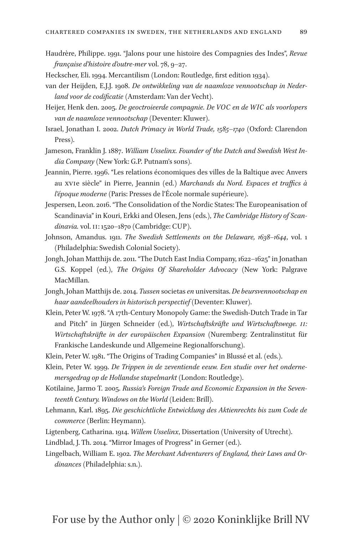- Haudrère, Philippe. 1991. "Jalons pour une histoire des Compagnies des Indes", *Revue française d'histoire d'outre-mer* vol. 78, 9–27.
- Heckscher, Eli. 1994. Mercantilism (London: Routledge, first edition 1934).
- van der Heijden, E.J.J. 1908. *De ontwikkeling van de naamloze vennootschap in Nederland voor de codificatie* (Amsterdam: Van der Vecht).
- Heijer, Henk den. 2005. *De geoctroieerde compagnie. De VOC en de WIC als voorlopers van de naamloze vennootschap* (Deventer: Kluwer).
- Israel, Jonathan I. 2002. *Dutch Primacy in World Trade, 1585*–*1740* (Oxford: Clarendon Press).
- Jameson, Franklin J. 1887. *William Usselinx. Founder of the Dutch and Swedish West India Company* (New York: G.P. Putnam's sons).
- Jeannin, Pierre. 1996. "Les relations économiques des villes de la Baltique avec Anvers au xvie siècle" in Pierre, Jeannin (ed.) *Marchands du Nord. Espaces et traffics à l'époque moderne* (Paris: Presses de l'École normale supérieure).
- Jespersen, Leon. 2016. "The Consolidation of the Nordic States: The Europeanisation of Scandinavia" in Kouri, Erkki and Olesen, Jens (eds.), *The Cambridge History of Scandinavia.* vol. ii: 1520–1870 (Cambridge: CUP).
- Johnson, Amandus. 1911. *The Swedish Settlements on the Delaware, 1638–1644*, vol. 1 (Philadelphia: Swedish Colonial Society).
- Jongh, Johan Matthijs de. 2011. "The Dutch East India Company, 1622–1625" in Jonathan G.S. Koppel (ed.), *The Origins Of Shareholder Advocacy* (New York: Palgrave MacMillan.
- Jongh, Johan Matthijs de. 2014. *Tussen* societas *en* universitas. *De beursvennootschap en haar aandeelhouders in historisch perspectief* (Deventer: Kluwer).
- Klein, Peter W. 1978. "A 17th-Century Monopoly Game: the Swedish-Dutch Trade in Tar and Pitch" in Jürgen Schneider (ed.), *Wirtschaftskräfte und Wirtschaftswege. ii: Wirtschaftskräfte in der europäischen Expansion* (Nuremberg: Zentralinstitut für Frankische Landeskunde und Allgemeine Regionalforschung).
- Klein, Peter W. 1981. "The Origins of Trading Companies" in Blussé et al. (eds.).
- Klein, Peter W. 1999. *De Trippen in de zeventiende eeuw. Een studie over het ondernemersgedrag op de Hollandse stapelmarkt* (London: Routledge).
- Kotilaine, Jarmo T. 2005. *Russia's Foreign Trade and Economic Expansion in the Seventeenth Century. Windows on the World* (Leiden: Brill).
- Lehmann, Karl. 1895. *Die geschichtliche Entwicklung des Aktienrechts bis zum Code de commerce* (Berlin: Heymann).
- Ligtenberg, Catharina. 1914. *Willem Usselinx*, Dissertation (University of Utrecht).
- Lindblad, J. Th. 2014. "Mirror Images of Progress" in Gerner (ed.).
- Lingelbach, William E. 1902. *The Merchant Adventurers of England, their Laws and Ordinances* (Philadelphia: s.n.).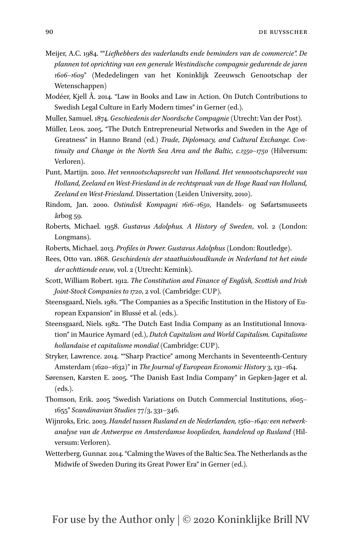Meijer, A.C. 1984. ""*Liefhebbers des vaderlandts ende beminders van de commercie". De plannen tot oprichting van een generale Westindische compagnie gedurende de jaren 1606–1609*" (Mededelingen van het Koninklijk Zeeuwsch Genootschap der Wetenschappen)

Modéer, Kjell Å. 2014. "Law in Books and Law in Action. On Dutch Contributions to Swedish Legal Culture in Early Modern times" in Gerner (ed.).

Muller, Samuel. 1874. *Geschiedenis der Noordsche Compagnie* (Utrecht: Van der Post).

Müller, Leos. 2005. "The Dutch Entrepreneurial Networks and Sweden in the Age of Greatness" in Hanno Brand (ed.) *Trade, Diplomacy, and Cultural Exchange. Continuity and Change in the North Sea Area and the Baltic, c.1350–1750* (Hilversum: Verloren).

Punt, Martijn. 2010. *Het vennootschapsrecht van Holland. Het vennootschapsrecht van Holland, Zeeland en West-Friesland in de rechtspraak van de Hoge Raad van Holland, Zeeland en West-Friesland*. Dissertation (Leiden University, 2010).

Rindom, Jan. 2000. *Ostindisk Kompagni 1616–1650*, Handels- og Søfartsmuseets årbog 59.

Roberts, Michael. 1958. *Gustavus Adolphus. A History of Sweden*, vol. 2 (London: Longmans).

Roberts, Michael. 2013. *Profiles in Power. Gustavus Adolphus* (London: Routledge).

Rees, Otto van. 1868. *Geschiedenis der staathuishoudkunde in Nederland tot het einde der achttiende eeuw,* vol. 2 (Utrecht: Kemink).

Scott, William Robert. 1912. *The Constitution and Finance of English, Scottish and Irish Joint-Stock Companies to 1720*, 2 vol. (Cambridge: CUP).

Steensgaard, Niels. 1981. "The Companies as a Specific Institution in the History of European Expansion" in Blussé et al. (eds.).

Steensgaard, Niels. 1982. "The Dutch East India Company as an Institutional Innovation" in Maurice Aymard (ed.), *Dutch Capitalism and World Capitalism. Capitalisme hollandaise et capitalisme mondial* (Cambridge: CUP).

Stryker, Lawrence. 2014. ""Sharp Practice" among Merchants in Seventeenth-Century Amsterdam (1620–1632)" in *The Journal of European Economic History* 3, 131–164.

- Sørensen, Karsten E. 2005. "The Danish East India Company" in Gepken-Jager et al. (eds.).
- Thomson, Erik. 2005 "Swedish Variations on Dutch Commercial Institutions, 1605– 1655" *Scandinavian Studies* 77/3, 331–346.
- Wijnroks, Eric. 2003. *Handel tussen Rusland en de Nederlanden, 1560*–*1640: een netwerkanalyse van de Antwerpse en Amsterdamse kooplieden, handelend op Rusland* (Hilversum: Verloren).
- Wetterberg, Gunnar. 2014. "Calming the Waves of the Baltic Sea. The Netherlands as the Midwife of Sweden During its Great Power Era" in Gerner (ed.).